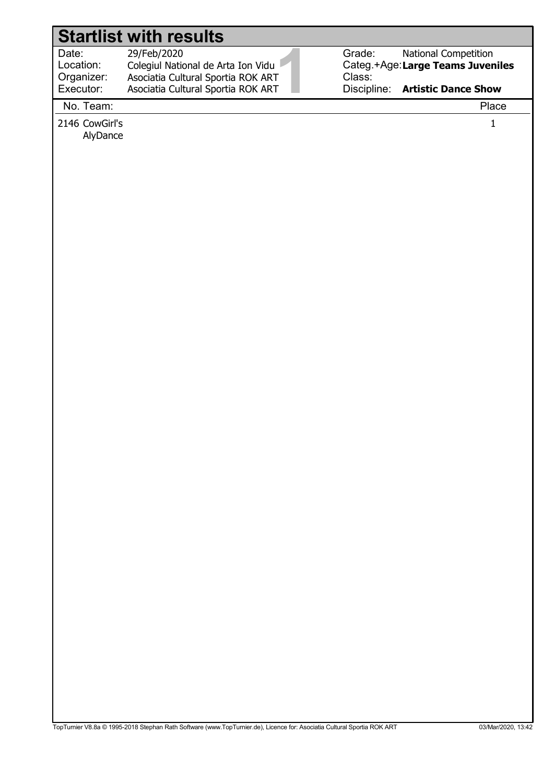|                                  | <b>Startlist with results</b>                                                           |                  |                                                          |
|----------------------------------|-----------------------------------------------------------------------------------------|------------------|----------------------------------------------------------|
| Date:<br>Location:<br>Organizer: | 29/Feb/2020<br>Colegiul National de Arta Ion Vidu<br>Asociatia Cultural Sportia ROK ART | Grade:<br>Class: | National Competition<br>Categ.+Age:Large Teams Juveniles |
| Executor:<br>No. Team:           | Asociatia Cultural Sportia ROK ART                                                      |                  | Discipline: Artistic Dance Show<br>Place                 |
| 2146 CowGirl's                   |                                                                                         |                  | $\mathbf{1}$                                             |
| AlyDance                         |                                                                                         |                  |                                                          |
|                                  |                                                                                         |                  |                                                          |
|                                  |                                                                                         |                  |                                                          |
|                                  |                                                                                         |                  |                                                          |
|                                  |                                                                                         |                  |                                                          |
|                                  |                                                                                         |                  |                                                          |
|                                  |                                                                                         |                  |                                                          |
|                                  |                                                                                         |                  |                                                          |
|                                  |                                                                                         |                  |                                                          |
|                                  |                                                                                         |                  |                                                          |
|                                  |                                                                                         |                  |                                                          |
|                                  |                                                                                         |                  |                                                          |
|                                  |                                                                                         |                  |                                                          |
|                                  |                                                                                         |                  |                                                          |
|                                  |                                                                                         |                  |                                                          |
|                                  |                                                                                         |                  |                                                          |
|                                  |                                                                                         |                  |                                                          |
|                                  |                                                                                         |                  |                                                          |
|                                  |                                                                                         |                  |                                                          |
|                                  |                                                                                         |                  |                                                          |
|                                  |                                                                                         |                  |                                                          |
|                                  |                                                                                         |                  |                                                          |
|                                  |                                                                                         |                  |                                                          |
|                                  |                                                                                         |                  |                                                          |
|                                  |                                                                                         |                  |                                                          |
|                                  |                                                                                         |                  |                                                          |
|                                  |                                                                                         |                  |                                                          |
|                                  |                                                                                         |                  |                                                          |
|                                  |                                                                                         |                  |                                                          |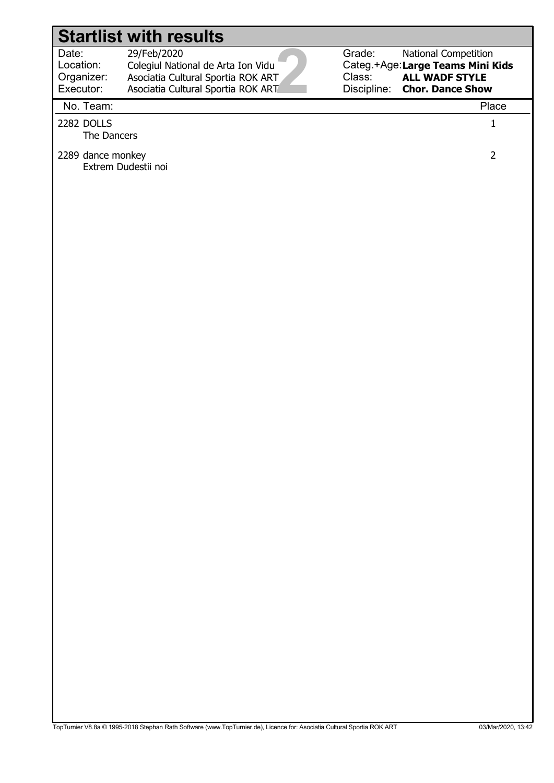#### 2 Date: Location: Grade: Categ.+Age: Large Teams Mini Kids Class: Discipline: 29/Feb/2020 Colegiul National de Arta Ion Vidu National Competition ALL WADF STYLE Chor. Dance Show Organizer: Executor: Asociatia Cultural Sportia ROK ART Asociatia Cultural Sportia ROK ART Startlist with results No. Team: Place 2282 DOLLS 1 The Dancers 2289 dance monkey 2 Extrem Dudestii noi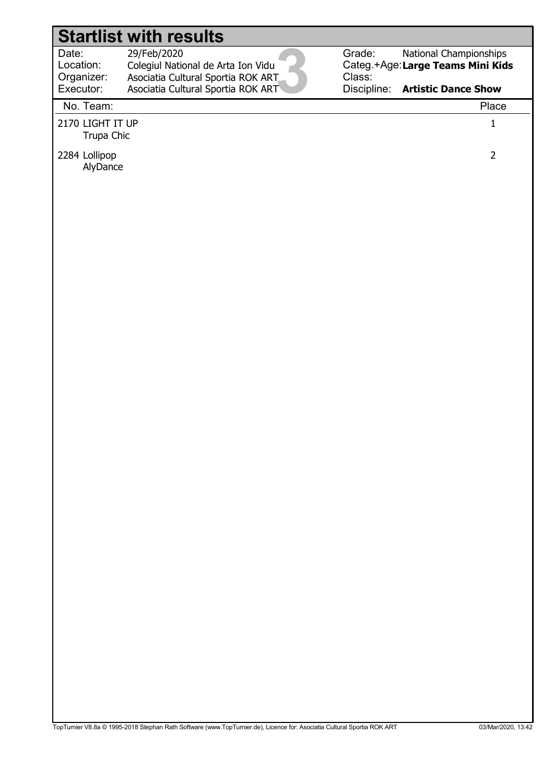Date: Location: 29/Feb/2020 Colegiul National de Arta Ion Vidu Organizer: Asociatia Cultural Sportia ROK ART

3 Executor: Asociatia Cultural Sportia ROK ART No. Team: Place

Grade: Categ.+Age: Large Teams Mini Kids Class: National Championships

Discipline: Artistic Dance Show

2170 LIGHT IT UP 1 Trupa Chic

2284 Lollipop 2 AlyDance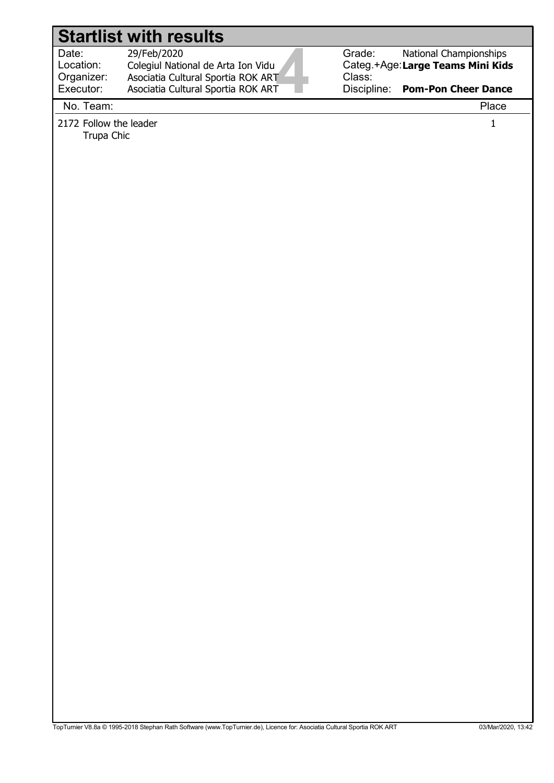4 Date: Location: 29/Feb/2020 Colegiul National de Arta Ion Vidu Organizer: Executor: Asociatia Cultural Sportia ROK ART Asociatia Cultural Sportia ROK ART

Grade: Categ.+Age: Large Teams Mini Kids Class: National Championships

Discipline: Pom-Pon Cheer Dance

No. Team: Place

2172 Follow the leader 1

Trupa Chic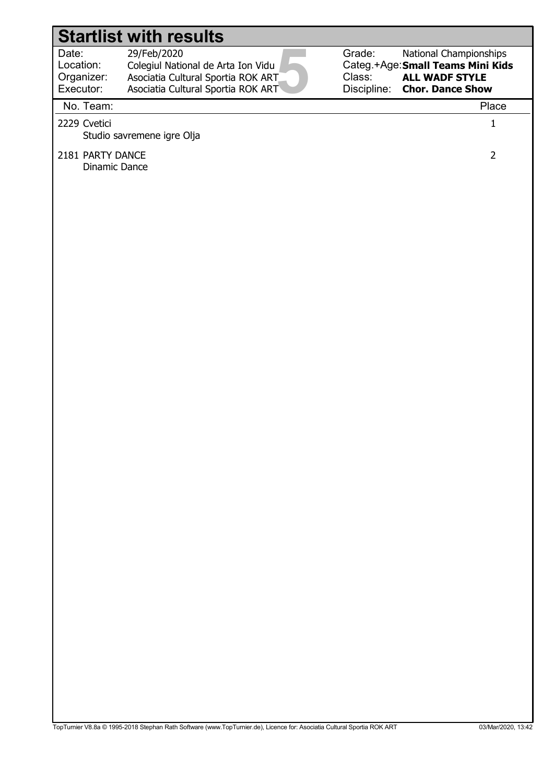Date: Location:

#### 29/Feb/2020

5 Colegiul National de Arta Ion Vidu Organizer: Executor: Asociatia Cultural Sportia ROK ART Asociatia Cultural Sportia ROK ART

Grade: Categ.+Age: Small Teams Mini Kids Class: Discipline: National Championships ALL WADF STYLE Chor. Dance Show

# No. Team: Place 2229 Cvetici 1 Studio savremene igre Olja 2181 PARTY DANCE 2018 2 Dinamic Dance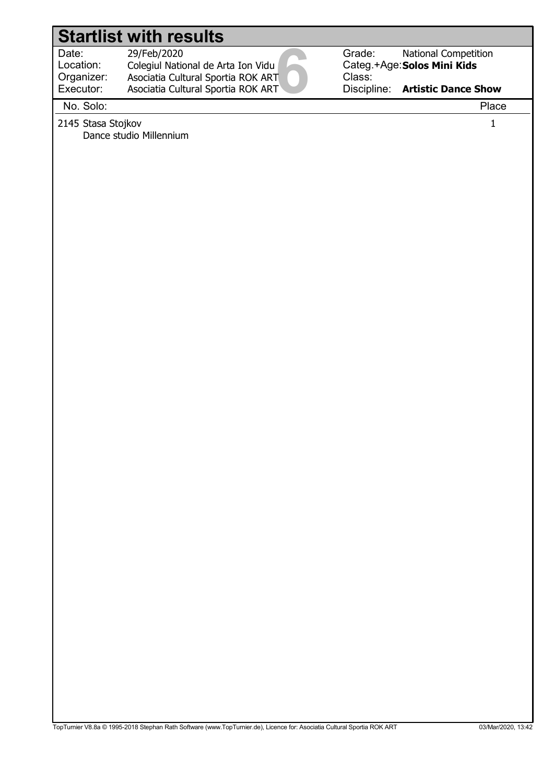Date: Location:

 29/Feb/2020 Colegiul National de Arta Ion Vidu

6 Organizer: Executor: Asociatia Cultural Sportia ROK ART Asociatia Cultural Sportia ROK ART

Grade: Categ.+Age: Solos Mini Kids Class: Discipline: National Competition Artistic Dance Show

No. Solo: Place

2145 Stasa Stojkov 1 Dance studio Millennium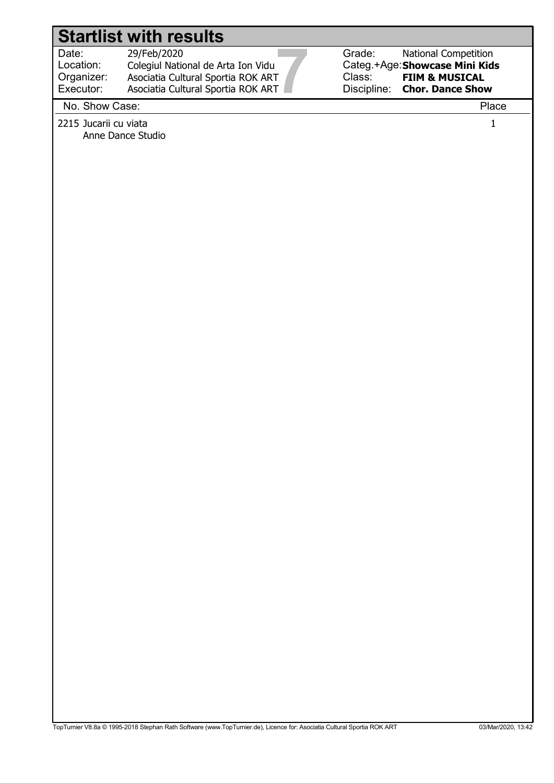<u>7</u> Date: Location: 29/Feb/2020 Colegiul National de Arta Ion Vidu Organizer: Executor: Asociatia Cultural Sportia ROK ART Asociatia Cultural Sportia ROK ART

Grade: Categ.+Age: Showcase Mini Kids Class: Discipline: National Competition FIlM & MUSICAL Chor. Dance Show

#### No. Show Case: Place

2215 Jucarii cu viata 1 Anne Dance Studio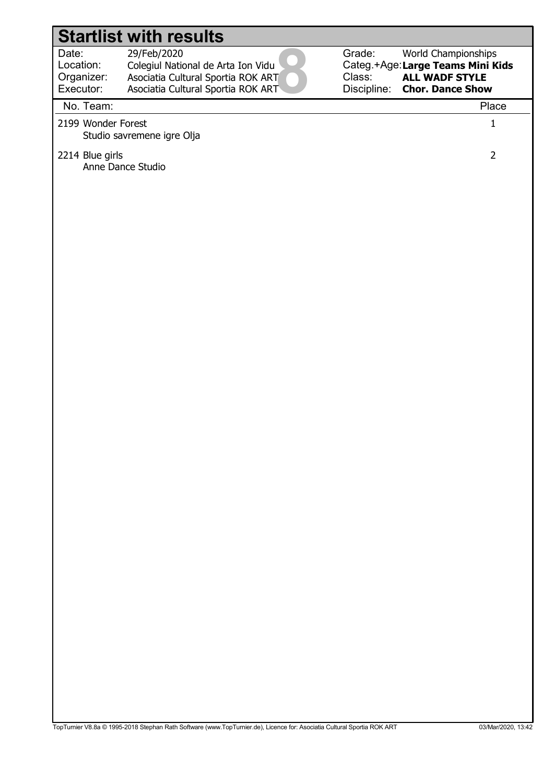Date: Location: Organizer: 29/Feb/2020

8 Colegiul National de Arta Ion Vidu Executor: Asociatia Cultural Sportia ROK ART Asociatia Cultural Sportia ROK ART

Grade: Categ.+Age: Large Teams Mini Kids Class: Discipline: World Championships ALL WADF STYLE Chor. Dance Show

#### No. Team: Place

2199 Wonder Forest 1 Studio savremene igre Olja

#### 2214 Blue girls 2214 Blue girls 2 Anne Dance Studio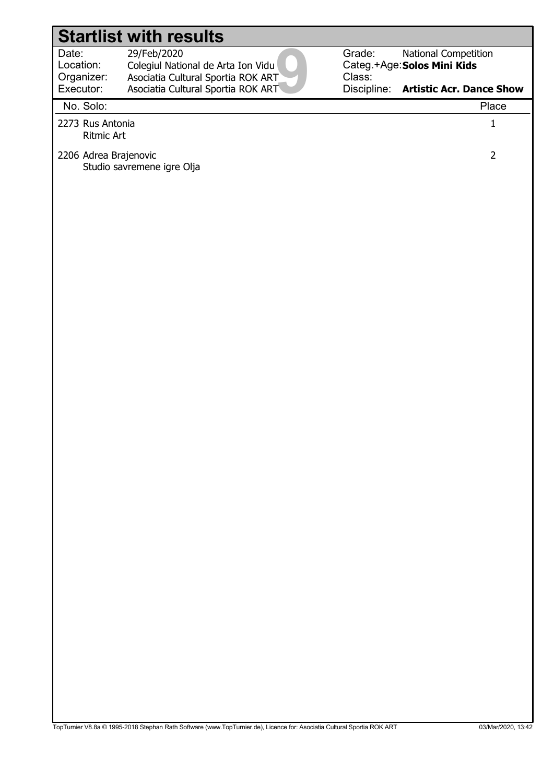Studio savremene igre Olja

9 Date: Location: 29/Feb/2020 Colegiul National de Arta Ion Vidu Organizer: Executor: Asociatia Cultural Sportia ROK ART Asociatia Cultural Sportia ROK ART

2206 Adrea Brajenovic 2

Grade: Categ.+Age: Solos Mini Kids Class: Discipline: Artistic Acr. Dance Show National Competition

#### No. Solo: Place

Ritmic Art

2273 Rus Antonia 1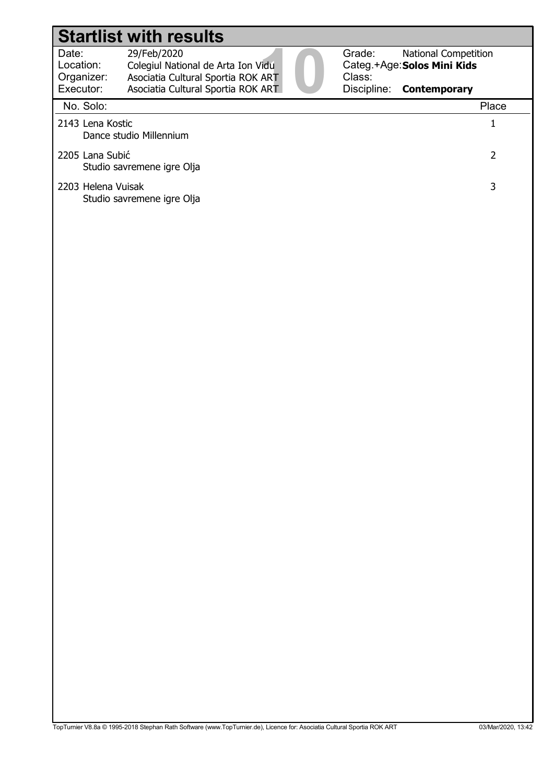| Date:                     | 29/Feb/2020                        |  |
|---------------------------|------------------------------------|--|
| Location:                 | Colegiul National de Arta Ion Vidu |  |
| Organizer:                | Asociatia Cultural Sportia ROK ART |  |
| Executor:                 | Asociatia Cultural Sportia ROK ART |  |
| $N = \Omega_{\text{max}}$ |                                    |  |



Grade: Categ.+Age: Solos Mini Kids Class: Discipline: **Contemporary** National Competition

| No. Solo:                                        | Place |
|--------------------------------------------------|-------|
| 2143 Lena Kostic<br>Dance studio Millennium      |       |
| 2205 Lana Subić<br>Studio savremene igre Olja    |       |
| 2203 Helena Vuisak<br>Studio savremene igre Olja | 3     |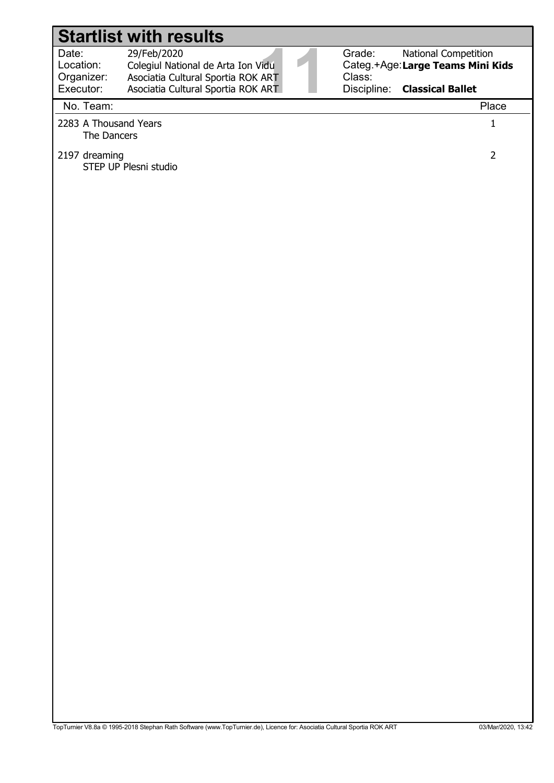|                                               | <b>Startlist with results</b>                                                                                           |                  |                                                                                          |  |
|-----------------------------------------------|-------------------------------------------------------------------------------------------------------------------------|------------------|------------------------------------------------------------------------------------------|--|
| Date:<br>Location:<br>Organizer:<br>Executor: | 29/Feb/2020<br>Colegiul National de Arta Ion Vidu<br>Asociatia Cultural Sportia ROK ART                                 | Grade:<br>Class: | National Competition<br>Categ.+Age:Large Teams Mini Kids<br>Discipline: Classical Ballet |  |
| No. Team:                                     | Asociatia Cultural Sportia ROK ART                                                                                      |                  | Place                                                                                    |  |
| 2283 A Thousand Years                         |                                                                                                                         |                  | $\mathbf{1}$                                                                             |  |
| The Dancers                                   |                                                                                                                         |                  |                                                                                          |  |
| 2197 dreaming                                 | STEP UP Plesni studio                                                                                                   |                  | $\overline{2}$                                                                           |  |
|                                               |                                                                                                                         |                  |                                                                                          |  |
|                                               |                                                                                                                         |                  |                                                                                          |  |
|                                               |                                                                                                                         |                  |                                                                                          |  |
|                                               |                                                                                                                         |                  |                                                                                          |  |
|                                               |                                                                                                                         |                  |                                                                                          |  |
|                                               |                                                                                                                         |                  |                                                                                          |  |
|                                               |                                                                                                                         |                  |                                                                                          |  |
|                                               |                                                                                                                         |                  |                                                                                          |  |
|                                               |                                                                                                                         |                  |                                                                                          |  |
|                                               |                                                                                                                         |                  |                                                                                          |  |
|                                               |                                                                                                                         |                  |                                                                                          |  |
|                                               |                                                                                                                         |                  |                                                                                          |  |
|                                               |                                                                                                                         |                  |                                                                                          |  |
|                                               |                                                                                                                         |                  |                                                                                          |  |
|                                               |                                                                                                                         |                  |                                                                                          |  |
|                                               |                                                                                                                         |                  |                                                                                          |  |
|                                               |                                                                                                                         |                  |                                                                                          |  |
|                                               |                                                                                                                         |                  |                                                                                          |  |
|                                               | TopTurnier V8.8a @ 1995-2018 Stephan Rath Software (www.TopTurnier.de), Licence for: Asociatia Cultural Sportia ROK ART |                  | 03/Mar/2020, 13:42                                                                       |  |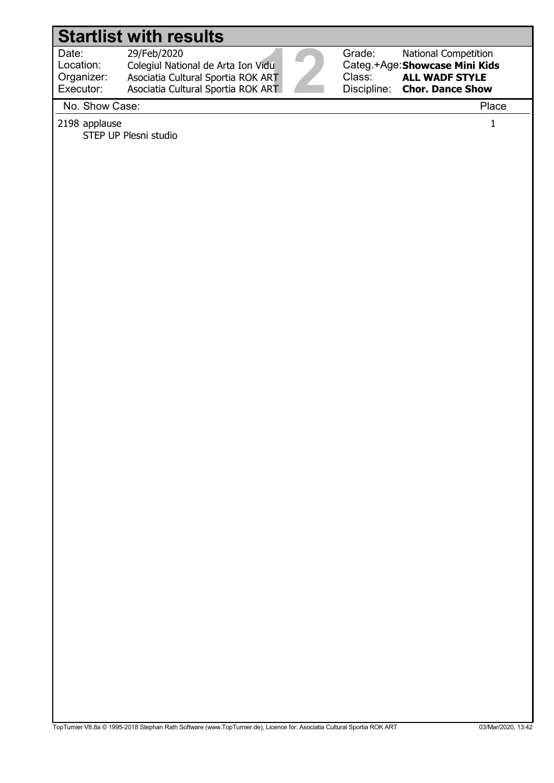Location: Organizer: Executor:

Date: 29/Feb/2020<br>
Location: Colegiul National de Arta Ion Vidu<br>
Organizer: Asociatia Cultural Sportia ROK ART<br>
Executor: Asociatia Cultural Sportia ROK ART<br>
Na Shaw Caes: 29/Feb/2020 Colegiul National de Arta Ion Vidu Asociatia Cultural Sportia ROK ART

Asociatia Cultural Sportia ROK ART

Grade: Categ.+Age: Showcase Mini Kids Class: Discipline: National Competition ALL WADF STYLE Chor. Dance Show

No. Show Case: Place

2198 applause 1

STEP UP Plesni studio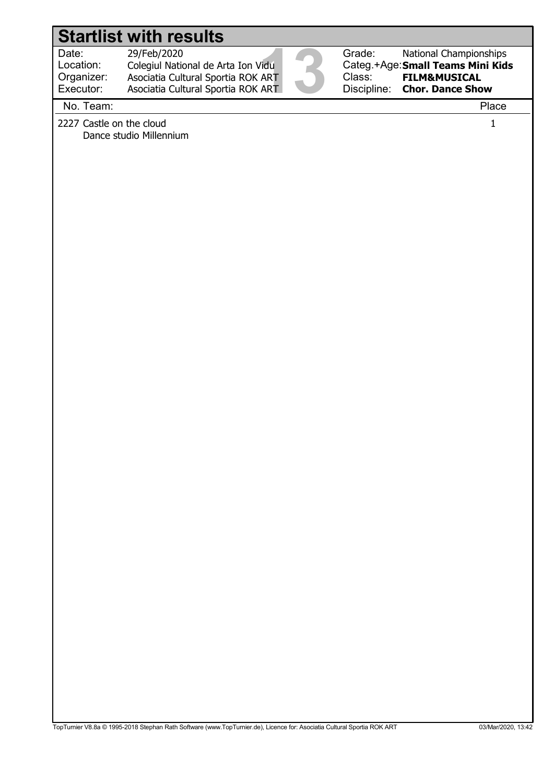Date: 29/Feb/2020<br>Location: Colegiul National de Arta Ion Vidu<br>Organizer: Asociatia Cultural Sportia ROK ART<br>Executor: Asociatia Cultural Sportia ROK ART<br>Na Team: Location: 29/Feb/2020 Colegiul National de Arta Ion Vidu Organizer: Executor: Asociatia Cultural Sportia ROK ART Asociatia Cultural Sportia ROK ART



Grade: Categ.+Age: Small Teams Mini Kids Class: Discipline: National Championships FILM&MUSICAL Chor. Dance Show

#### No. Team: Place

2227 Castle on the cloud 1 Dance studio Millennium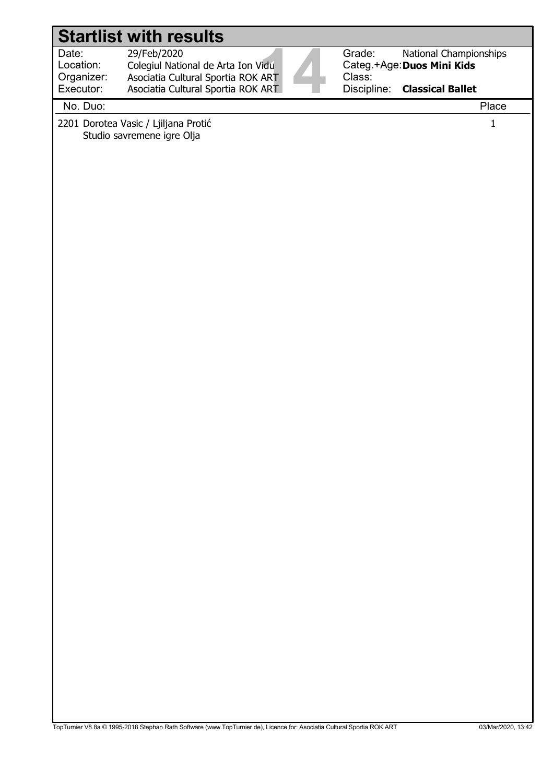| Date:<br>Grade:<br>29/Feb/2020<br>National Championships<br>Colegiul National de Arta Ion Vidu<br>Categ.+Age: Duos Mini Kids<br>Location:<br>Class:<br>Organizer:<br>Asociatia Cultural Sportia ROK ART<br>Executor:<br>Discipline:<br>Asociatia Cultural Sportia ROK ART<br><b>Classical Ballet</b><br>No. Duo:<br>Place<br>2201 Dorotea Vasic / Ljiljana Protić<br>$\mathbf{1}$ | <b>Startlist with results</b> |
|-----------------------------------------------------------------------------------------------------------------------------------------------------------------------------------------------------------------------------------------------------------------------------------------------------------------------------------------------------------------------------------|-------------------------------|
|                                                                                                                                                                                                                                                                                                                                                                                   |                               |
|                                                                                                                                                                                                                                                                                                                                                                                   |                               |
| Studio savremene igre Olja                                                                                                                                                                                                                                                                                                                                                        |                               |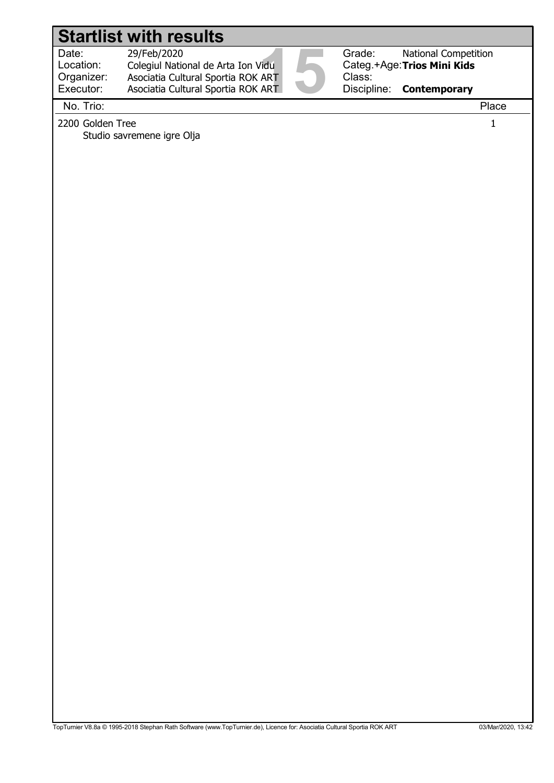#### Date: 29/Feb/2020<br>
Location: Colegiul National de Arta Ion Vidu<br>
Organizer: Asociatia Cultural Sportia ROK ART<br>
Executor: Asociatia Cultural Sportia ROK ART<br>
Na Tricu Location: Grade: Categ.+Age: Trios Mini Kids Class: 29/Feb/2020 Colegiul National de Arta Ion Vidu National Competition Organizer: Executor: Asociatia Cultural Sportia ROK ART Asociatia Cultural Sportia ROK ART Startlist with results

Discipline: **Contemporary** 

No. Trio: Place

2200 Golden Tree 1200 Automatic 1200 Golden Tree 1200 Automatic 1200 Automatic 1200 Automatic 1200 Automatic 1

Studio savremene igre Olja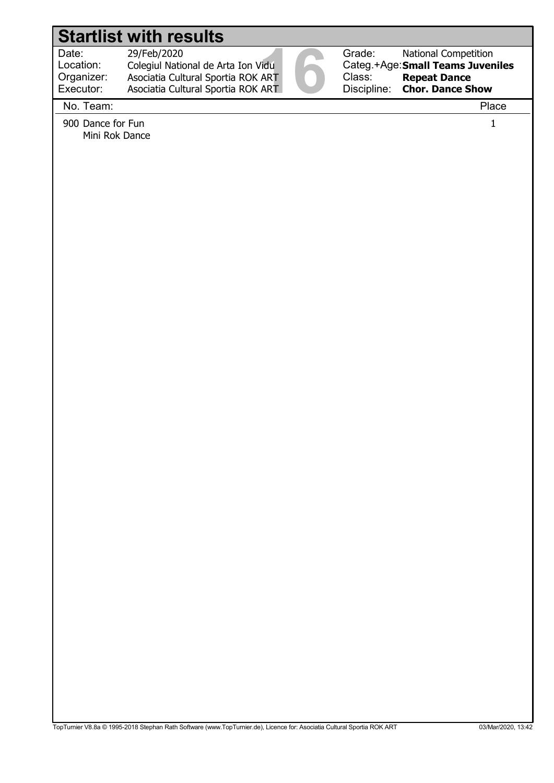|                                               | <b>Startlist with results</b>                                                                                                 |                                 |                                                                                                             |
|-----------------------------------------------|-------------------------------------------------------------------------------------------------------------------------------|---------------------------------|-------------------------------------------------------------------------------------------------------------|
| Date:<br>Location:<br>Organizer:<br>Executor: | 29/Feb/2020<br>Colegiul National de Arta Ion Vidu<br>Asociatia Cultural Sportia ROK ART<br>Asociatia Cultural Sportia ROK ART | Grade:<br>Class:<br>Discipline: | National Competition<br>Categ.+Age: Small Teams Juveniles<br><b>Repeat Dance</b><br><b>Chor. Dance Show</b> |
| No. Team:                                     |                                                                                                                               |                                 | Place                                                                                                       |
| 900 Dance for Fun<br>Mini Rok Dance           |                                                                                                                               |                                 | $\mathbf{1}$                                                                                                |
|                                               |                                                                                                                               |                                 |                                                                                                             |
|                                               |                                                                                                                               |                                 |                                                                                                             |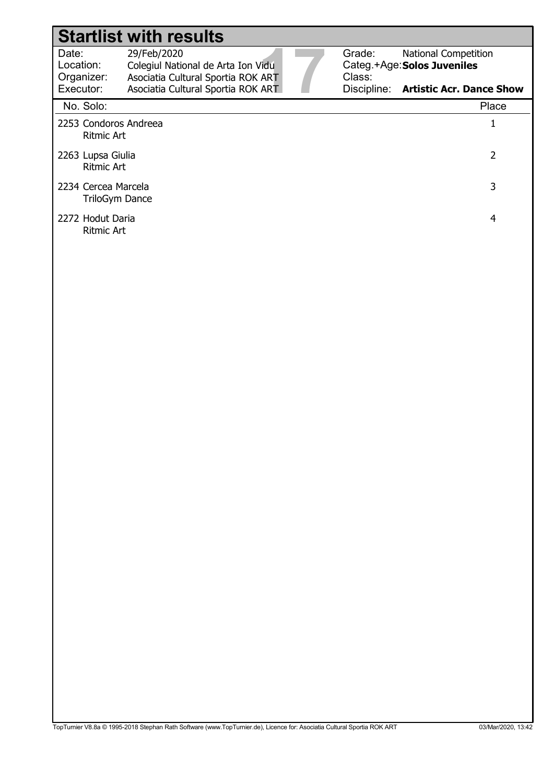|                                                   | <b>Startlist with results</b>                                                           |  |                                                                                |
|---------------------------------------------------|-----------------------------------------------------------------------------------------|--|--------------------------------------------------------------------------------|
| Date:<br>Location:<br>Organizer:                  | 29/Feb/2020<br>Colegiul National de Arta Ion Vidu<br>Asociatia Cultural Sportia ROK ART |  | Grade:<br><b>National Competition</b><br>Categ.+Age: Solos Juveniles<br>Class: |
| Executor:                                         | Asociatia Cultural Sportia ROK ART                                                      |  | Discipline: Artistic Acr. Dance Show                                           |
| No. Solo:                                         |                                                                                         |  | Place                                                                          |
| 2253 Condoros Andreea<br><b>Ritmic Art</b>        |                                                                                         |  | 1                                                                              |
| 2<br>2263 Lupsa Giulia<br><b>Ritmic Art</b>       |                                                                                         |  |                                                                                |
| 3<br>2234 Cercea Marcela<br><b>TriloGym Dance</b> |                                                                                         |  |                                                                                |
| 2272 Hodut Daria<br>Ritmic Art                    |                                                                                         |  | 4                                                                              |
|                                                   |                                                                                         |  |                                                                                |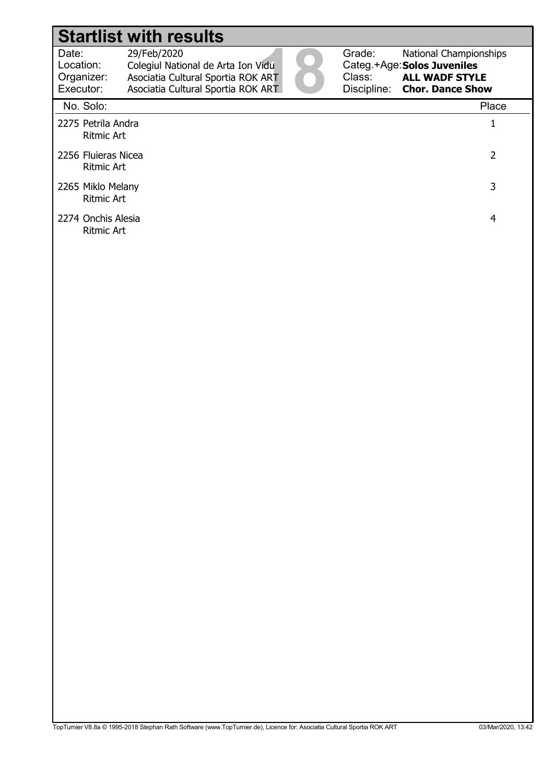| Date:                     | 29/Feb/2020                        |  |
|---------------------------|------------------------------------|--|
| Location:                 | Colegiul National de Arta Ion Vidu |  |
| Organizer:                | Asociatia Cultural Sportia ROK ART |  |
| Executor:                 | Asociatia Cultural Sportia ROK ART |  |
| $N = \Omega_{\text{max}}$ |                                    |  |



Grade: Categ.+Age: Class: Discipline: Chor. Dance Show National Championships Solos Juveniles ALL WADF STYLE

| No. Solo:                                | Place |
|------------------------------------------|-------|
| 2275 Petrila Andra<br><b>Ritmic Art</b>  |       |
| 2256 Fluieras Nicea<br><b>Ritmic Art</b> | 2     |
| 2265 Miklo Melany<br><b>Ritmic Art</b>   | 3     |
| 2274 Onchis Alesia<br><b>Ritmic Art</b>  | 4     |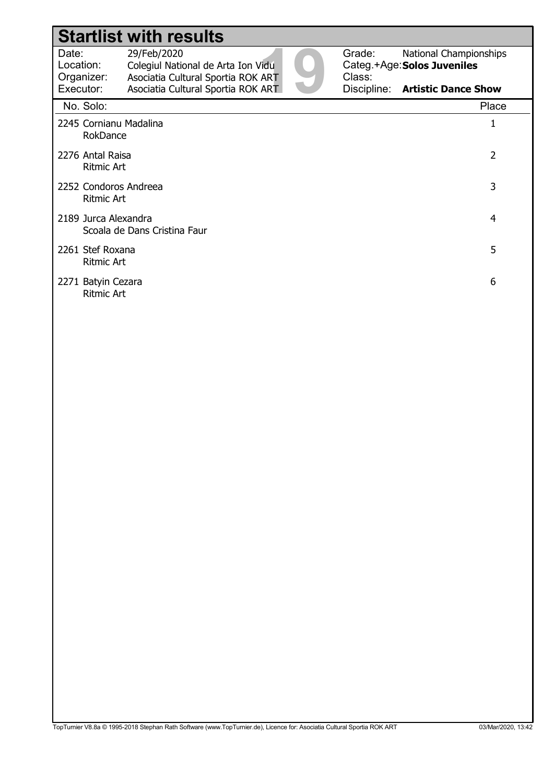|                                                           | <b>Startlist with results</b>                                                           |  |                  |                                                              |
|-----------------------------------------------------------|-----------------------------------------------------------------------------------------|--|------------------|--------------------------------------------------------------|
| Date:<br>Location:<br>Organizer:                          | 29/Feb/2020<br>Colegiul National de Arta Ion Vidu<br>Asociatia Cultural Sportia ROK ART |  | Grade:<br>Class: | <b>National Championships</b><br>Categ.+Age: Solos Juveniles |
| Executor:                                                 | Asociatia Cultural Sportia ROK ART                                                      |  |                  | Discipline: Artistic Dance Show                              |
| No. Solo:                                                 |                                                                                         |  |                  | Place                                                        |
| 2245 Cornianu Madalina<br>RokDance                        |                                                                                         |  |                  | 1                                                            |
|                                                           | $\overline{2}$<br>2276 Antal Raisa<br><b>Ritmic Art</b>                                 |  |                  |                                                              |
|                                                           | 3<br>2252 Condoros Andreea<br><b>Ritmic Art</b>                                         |  |                  |                                                              |
| 2189 Jurca Alexandra<br>4<br>Scoala de Dans Cristina Faur |                                                                                         |  |                  |                                                              |
| 5<br>2261 Stef Roxana<br><b>Ritmic Art</b>                |                                                                                         |  |                  |                                                              |
|                                                           | 6<br>2271 Batyin Cezara<br><b>Ritmic Art</b>                                            |  |                  |                                                              |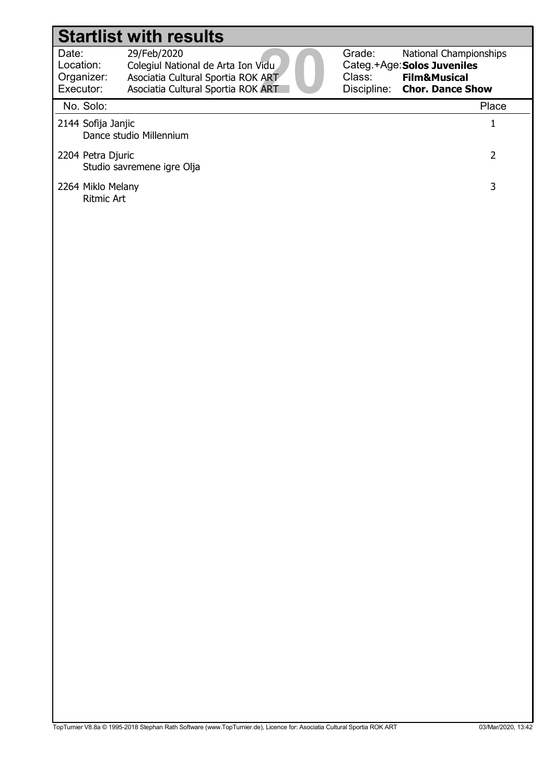| Date:                     | 29/Feb/2020                        |
|---------------------------|------------------------------------|
| Location:                 | Colegiul National de Arta Ion Vidu |
| Organizer:                | Asociatia Cultural Sportia ROK ART |
| Executor:                 | Asociatia Cultural Sportia ROK ART |
| $N = \Omega_{\text{max}}$ |                                    |



#### No. Solo: Place 2144 Sofija Janjic 1 Dance studio Millennium 2204 Petra Djuric 2 Studio savremene igre Olja 2264 Miklo Melany 3 Ritmic Art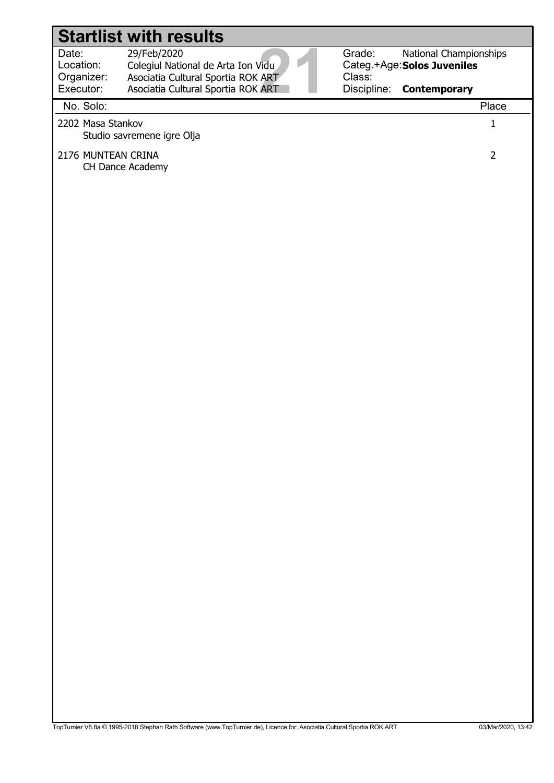Location:

29/Feb/2020

Date: 29/Feb/2020<br>
Location: Colegiul National de Arta Ion Vidu<br>
Organizer: Asociatia Cultural Sportia ROK ART<br>
Executor: Asociatia Cultural Sportia ROK ART<br>
Na Sela: Colegiul National de Arta Ion Vidu Organizer: Asociatia Cultural Sportia ROK ART

Grade: Categ.+Age: Solos Juveniles Class: National Championships **Contemporary** 

#### Discipline: Executor: Asociatia Cultural Sportia ROK ART No. Solo: Place 2202 Masa Stankov 1 Studio savremene igre Olja 2176 MUNTEAN CRINA 2 CH Dance Academy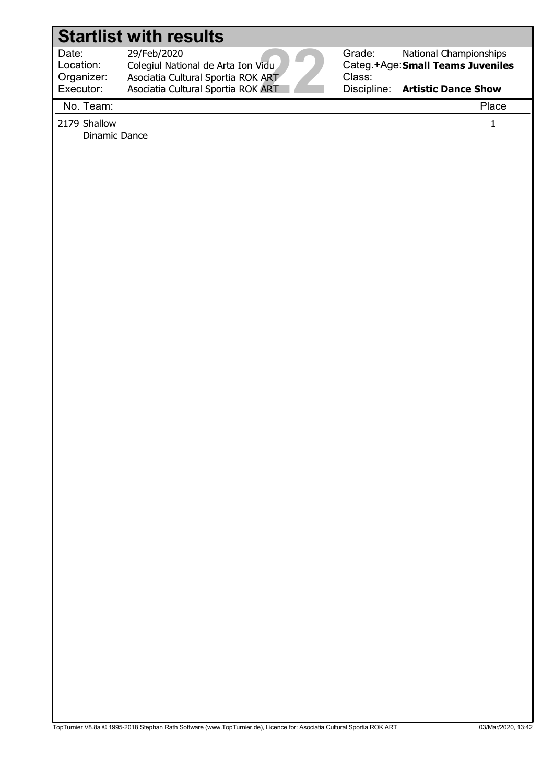Location:

 29/Feb/2020 Colegiul National de Arta Ion Vidu Asociatia Cultural Sportia ROK ART

Asociatia Cultural Sportia ROK ART



Grade: Categ.+Age: Small Teams Juveniles Class: National Championships

Discipline: Artistic Dance Show

No. Team: Place

Organizer: Executor:

2179 Shallow 1 Dinamic Dance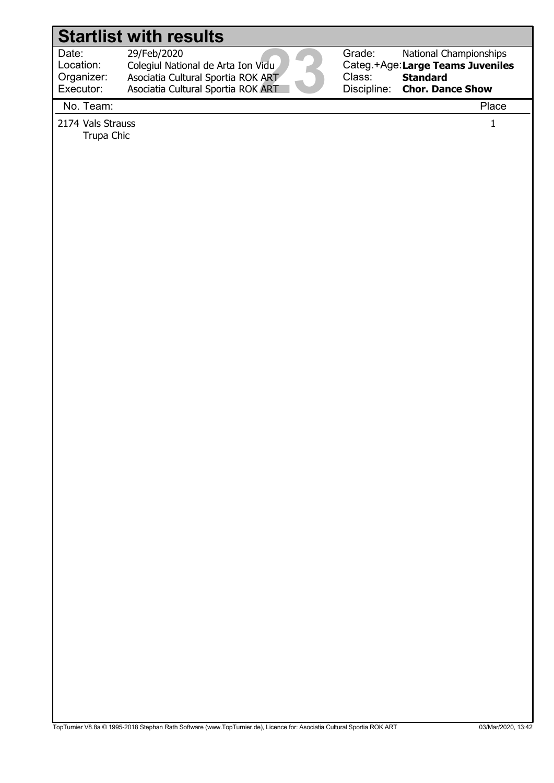Location: Organizer:

 29/Feb/2020 Colegiul National de Arta Ion Vidu Asociatia Cultural Sportia ROK ART

Asociatia Cultural Sportia ROK ART



Grade: Categ.+Age: Large Teams Juveniles Class: Discipline: National Championships **Standard** Chor. Dance Show

No. Team: Place

Executor:

2174 Vals Strauss 1

Trupa Chic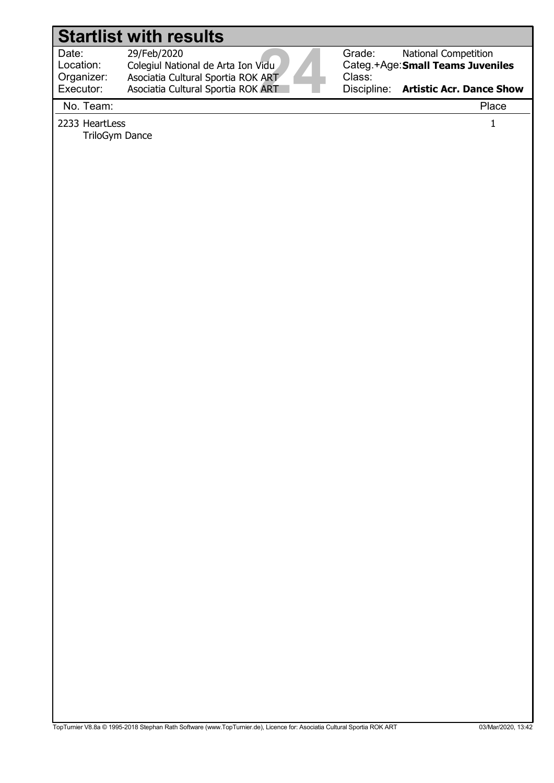Location:

 29/Feb/2020 Colegiul National de Arta Ion Vidu Asociatia Cultural Sportia ROK ART

Asociatia Cultural Sportia ROK ART



Grade: Categ.+Age: Small Teams Juveniles Class: National Competition

Discipline: Artistic Acr. Dance Show

No. Team: Place

Organizer: Executor:

2233 HeartLess 1 TriloGym Dance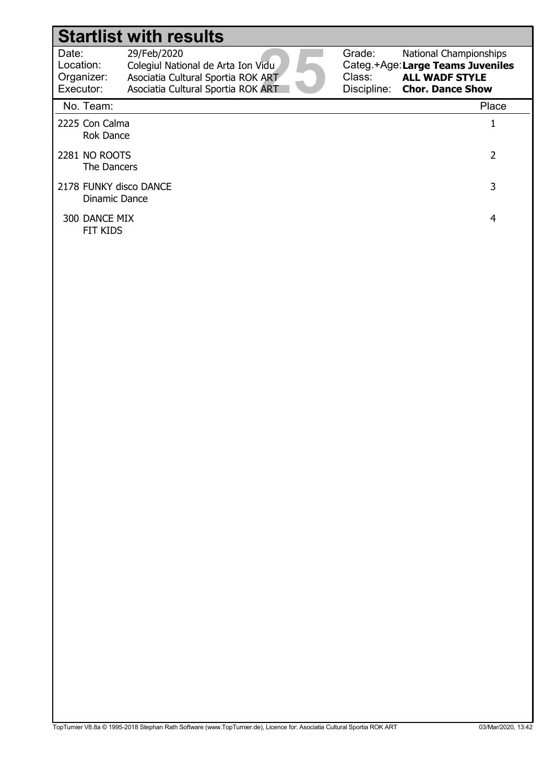| Date:      | 29/Feb/2020                        |
|------------|------------------------------------|
| Location:  | Colegiul National de Arta Ion Vidu |
| Organizer: | Asociatia Cultural Sportia ROK ART |
| Executor:  | Asociatia Cultural Sportia ROK ART |
|            |                                    |

Grade: Categ.+Age: Class: Discipline: Chor. Dance Show National Championships Large Teams Juveniles ALL WADF STYLE

| No. Team:                               | Place |
|-----------------------------------------|-------|
| 2225 Con Calma<br>Rok Dance             |       |
| 2281 NO ROOTS<br>The Dancers            | 2     |
| 2178 FUNKY disco DANCE<br>Dinamic Dance | 3     |
| 300 DANCE MIX<br>FIT KIDS               | 4     |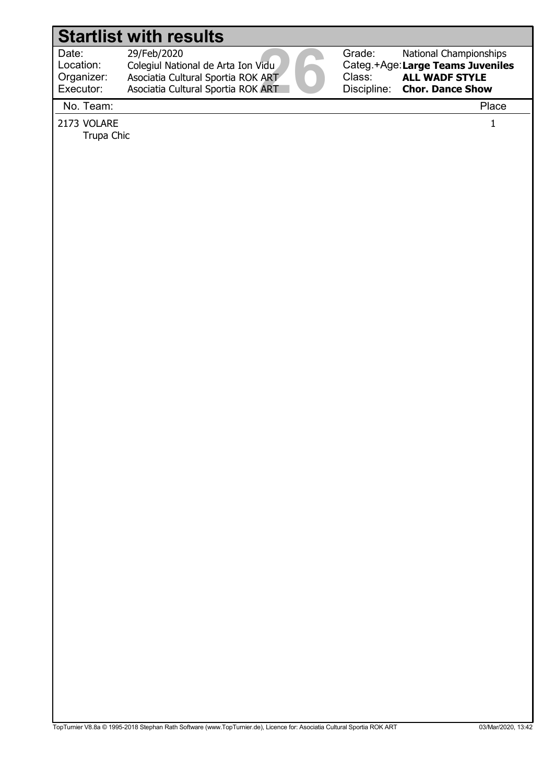Location: 29/Feb/2020

Date: 29/Feb/2020<br>Location: Colegiul National de Arta Ion Vidu<br>Organizer: Asociatia Cultural Sportia ROK ART<br>Executor: Asociatia Cultural Sportia ROK ART<br>Na Team: Colegiul National de Arta Ion Vidu Asociatia Cultural Sportia ROK ART

Asociatia Cultural Sportia ROK ART



Grade: Categ.+Age: Large Teams Juveniles Class: Discipline: National Championships ALL WADF STYLE Chor. Dance Show

No. Team: Place

Organizer: Executor:

2173 VOLARE 2007 1 Trupa Chic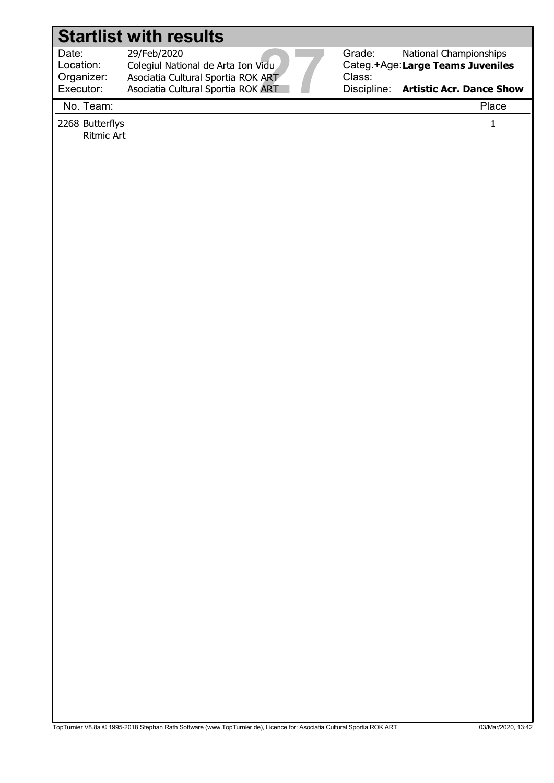Location: Organizer:

Date: 29/Feb/2020<br>
Location: Colegiul National de Arta Ion Vidu<br>
Organizer: Asociatia Cultural Sportia ROK ART<br>
Executor: Asociatia Cultural Sportia ROK ART<br>
Na Team: 29/Feb/2020 Colegiul National de Arta Ion Vidu Asociatia Cultural Sportia ROK ART

Asociatia Cultural Sportia ROK ART



Grade: Categ.+Age: Large Teams Juveniles Class: National Championships

Discipline: Artistic Acr. Dance Show

No. Team: Place

Executor:

2268 Butterflys 1 Ritmic Art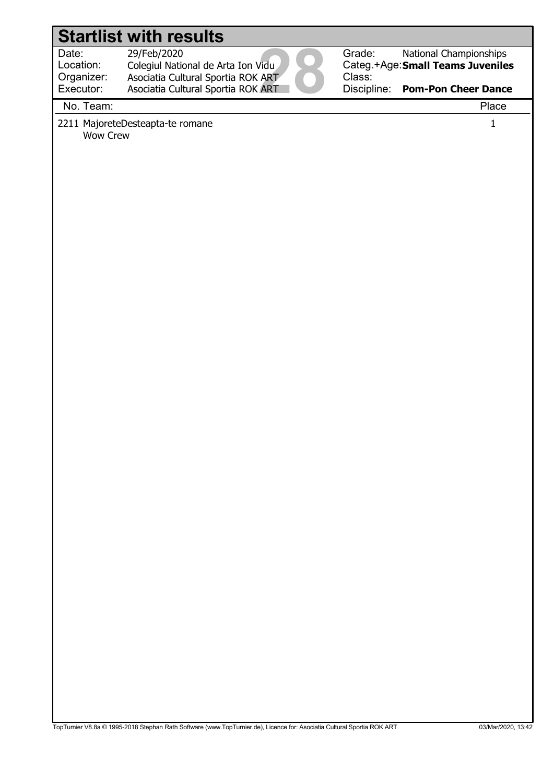Location:

29/Feb/2020

Date: 29/Feb/2020<br>Location: Colegiul National de Arta Ion Vidu<br>Organizer: Asociatia Cultural Sportia ROK ART<br>Executor: Asociatia Cultural Sportia ROK ART<br>Na Team: Colegiul National de Arta Ion Vidu Organizer: Executor: Asociatia Cultural Sportia ROK ART Asociatia Cultural Sportia ROK ART



Categ.+Age: Small Teams Juveniles National Championships

Discipline: Pom-Pon Cheer Dance

No. Team: Place

2211 MajoreteDesteapta-te romane 1 Wow Crew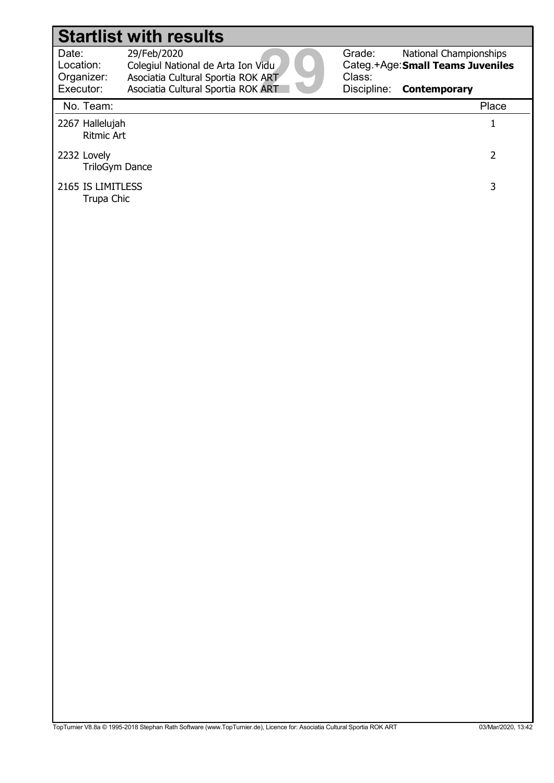Date: 29/Feb/2020<br>Location: Colegiul National de Arta Ion Vidu<br>Organizer: Asociatia Cultural Sportia ROK ART<br>Executor: Asociatia Cultural Sportia ROK ART<br>Na Team: Location: 29/Feb/2020 Colegiul National de Arta Ion Vidu Organizer: Executor: Asociatia Cultural Sportia ROK ART Asociatia Cultural Sportia ROK ART

Grade: Categ.+Age: Small Teams Juveniles Class: National Championships

Discipline: **Contemporary** 

#### No. Team: Place 2267 Hallelujah 1 Ritmic Art 2232 Lovely 2 TriloGym Dance 2165 IS LIMITLESS 3 Trupa Chic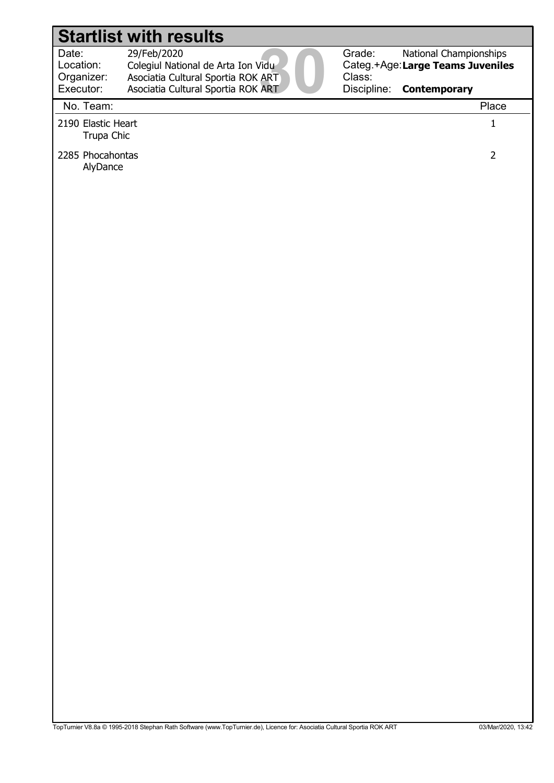29/Feb/2020

Date: 29/Feb/2020<br>Location: Colegiul National de Arta Ion Vidu<br>Organizer: Asociatia Cultural Sportia ROK ART<br>Executor: Asociatia Cultural Sportia ROK ART<br>Na Team: Location: Colegiul National de Arta Ion Vidu Organizer: Asociatia Cultural Sportia ROK ART



Grade: Categ.+Age: Large Teams Juveniles Class: National Championships

# Discipline: **Contemporary** Executor: Asociatia Cultural Sportia ROK ART No. Team: Place 2190 Elastic Heart 1 Trupa Chic 2285 Phocahontas 2 AlyDance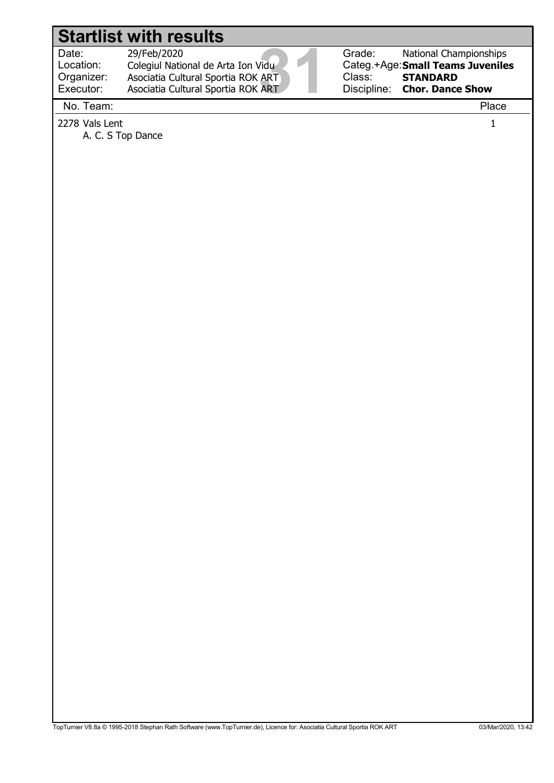Location: Organizer: Executor:

Date: 29/Feb/2020<br>
Location: Colegiul National de Arta Ion Vidu<br>
Organizer: Asociatia Cultural Sportia ROK ART<br>
Executor: Asociatia Cultural Sportia ROK ART<br>
Na Team: 29/Feb/2020 Colegiul National de Arta Ion Vidu Asociatia Cultural Sportia ROK ART Asociatia Cultural Sportia ROK ART



Categ.+Age: Small Teams Juveniles Discipline: National Championships **STANDARD** Chor. Dance Show

No. Team: Place

2278 Vals Lent 1

A. C. S Top Dance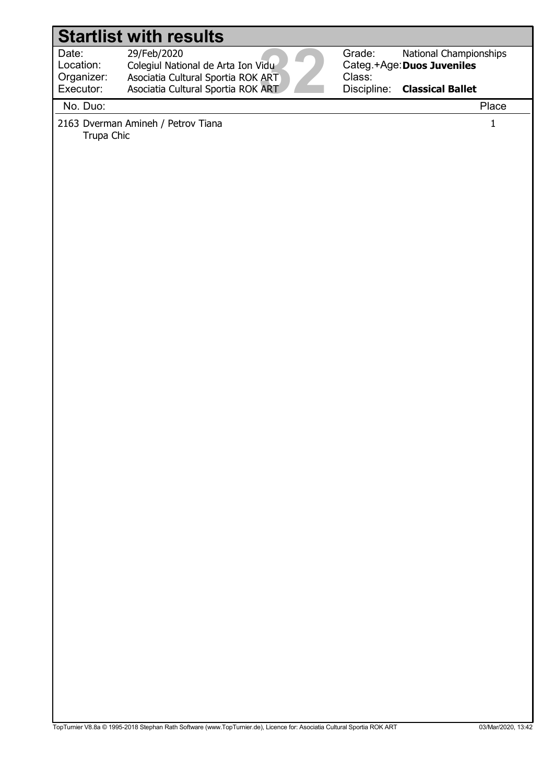Location:

 29/Feb/2020 Colegiul National de Arta Ion Vidu

Date: 29/Feb/2020<br>Location: Colegiul National de Arta Ion Vidu<br>Organizer: Asociatia Cultural Sportia ROK ART<br>Executor: Asociatia Cultural Sportia ROK ART<br>Na Ducu Asociatia Cultural Sportia ROK ART Asociatia Cultural Sportia ROK ART



Grade: Categ.+Age: Duos Juveniles Class: Discipline: National Championships Classical Ballet

Executor: No. Duo: Place

Organizer:

2163 Dverman Amineh / Petrov Tiana 1 Trupa Chic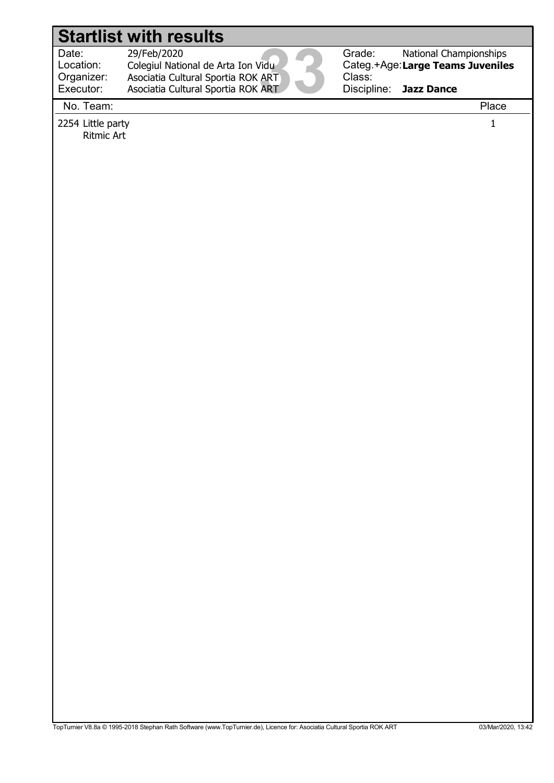Location: Organizer:

Date: 29/Feb/2020<br>Location: Colegiul National de Arta Ion Vidu<br>Organizer: Asociatia Cultural Sportia ROK ART<br>Executor: Asociatia Cultural Sportia ROK ART<br>Na Team: 29/Feb/2020 Colegiul National de Arta Ion Vidu Asociatia Cultural Sportia ROK ART

Asociatia Cultural Sportia ROK ART

Grade: Categ.+Age: Large Teams Juveniles Class: Discipline: National Championships Jazz Dance

No. Team: Place

Executor:

2254 Little party 1 Ritmic Art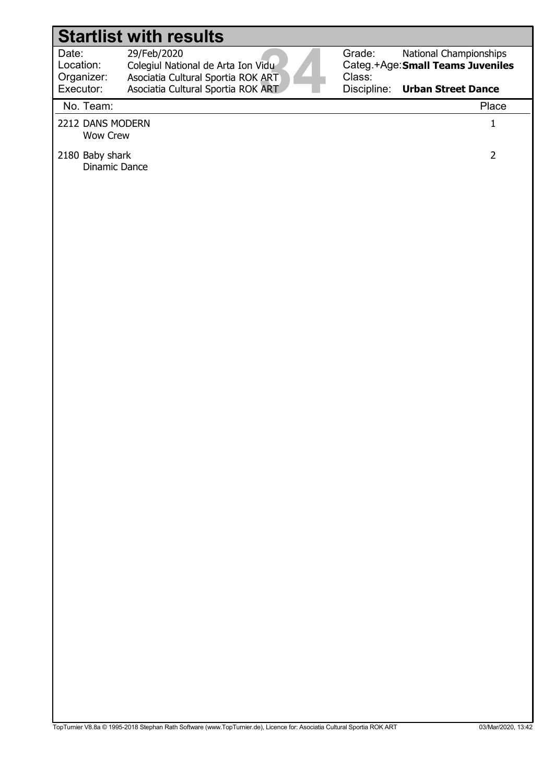Location:

29/Feb/2020

Date: 29/Feb/2020<br>Location: Colegiul National de Arta Ion Vidu<br>Organizer: Asociatia Cultural Sportia ROK ART<br>Executor: Asociatia Cultural Sportia ROK ART<br>Na Team: Colegiul National de Arta Ion Vidu Organizer: Executor: Asociatia Cultural Sportia ROK ART Asociatia Cultural Sportia ROK ART



Categ.+Age: Small Teams Juveniles National Championships

Discipline: Urban Street Dance

No. Team: Place

- 2212 DANS MODERN 1 Wow Crew
- 2180 Baby shark 2 Dinamic Dance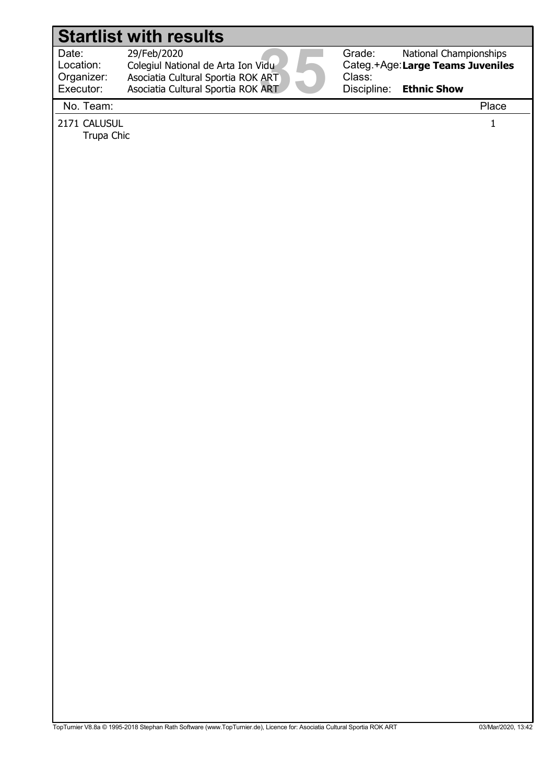Location:

Date: 29/Feb/2020<br>Location: Colegiul National de Arta Ion Vidu<br>Organizer: Asociatia Cultural Sportia ROK ART<br>Executor: Asociatia Cultural Sportia ROK ART<br>Na Team: 29/Feb/2020 Colegiul National de Arta Ion Vidu Asociatia Cultural Sportia ROK ART

Asociatia Cultural Sportia ROK ART



Grade: Categ.+Age: Large Teams Juveniles Class: Discipline: National Championships Ethnic Show

No. Team: Place

Organizer: Executor:

2171 CALUSUL 1

Trupa Chic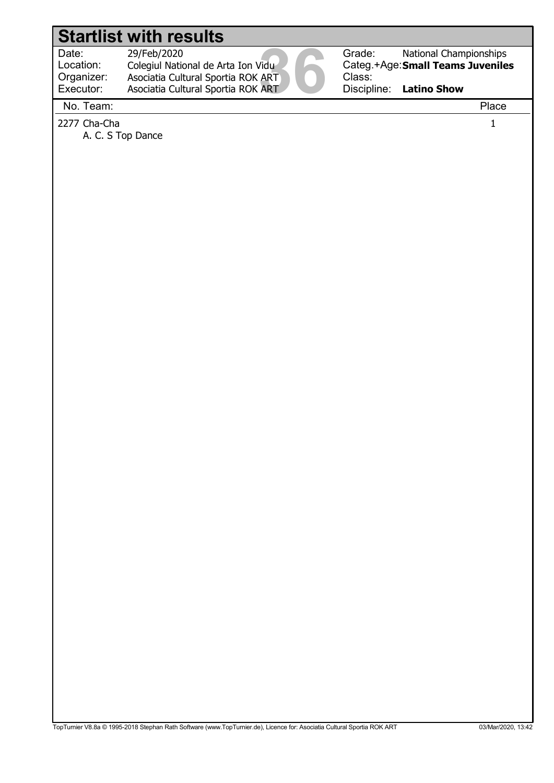Location: Organizer:

Date: 29/Feb/2020<br>Location: Colegiul National de Arta Ion Vidu<br>Organizer: Asociatia Cultural Sportia ROK ART<br>Executor: Asociatia Cultural Sportia ROK ART<br>Na Team: 29/Feb/2020 Colegiul National de Arta Ion Vidu Asociatia Cultural Sportia ROK ART Asociatia Cultural Sportia ROK ART



Grade: Categ.+Age: Small Teams Juveniles Class: Discipline: National Championships Latino Show

Executor: No. Team: Place

2277 Cha-Cha 1

A. C. S Top Dance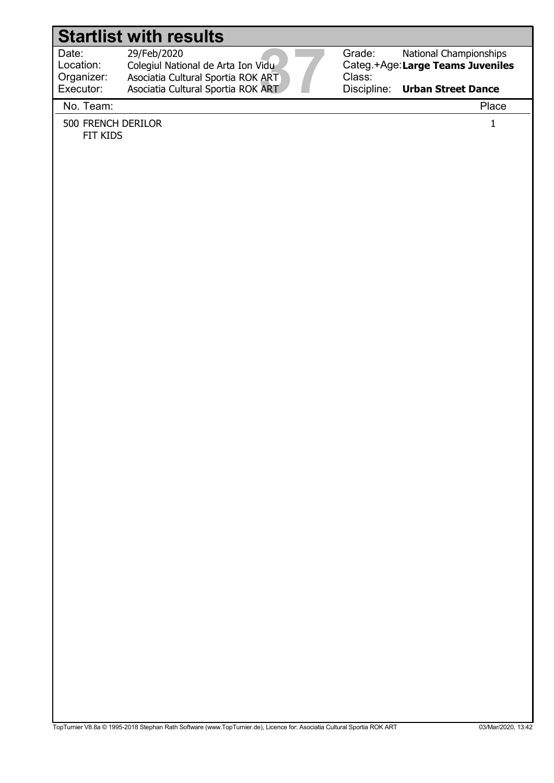Location: Organizer: Executor:

Date: 29/Feb/2020<br>
Location: Colegiul National de Arta Ion Vidu<br>
Organizer: Asociatia Cultural Sportia ROK ART<br>
Executor: Asociatia Cultural Sportia ROK ART<br>
Na Team: 29/Feb/2020 Colegiul National de Arta Ion Vidu Asociatia Cultural Sportia ROK ART Asociatia Cultural Sportia ROK ART



Categ.+Age: Large Teams Juveniles National Championships

Discipline: Urban Street Dance

No. Team: Place

500 FRENCH DERILOR 1 FIT KIDS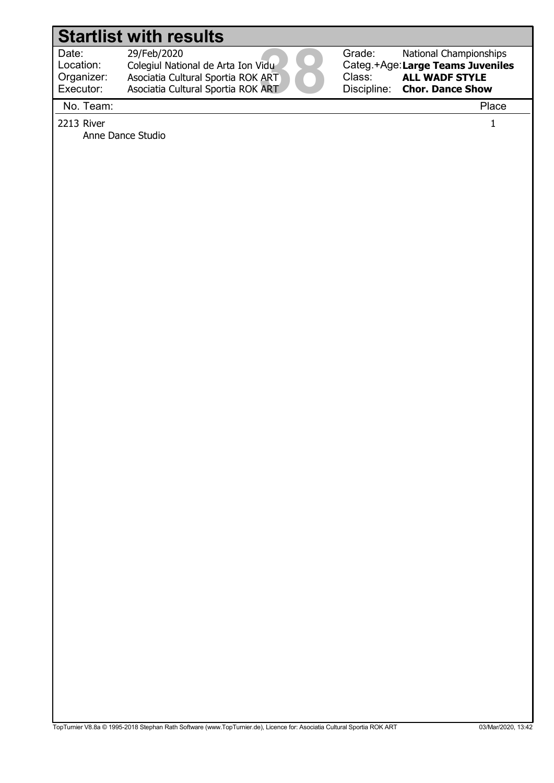Anne Dance Studio

Location: Organizer:

Date: 29/Feb/2020<br>Location: Colegiul National de Arta Ion Vidu<br>Organizer: Asociatia Cultural Sportia ROK ART<br>Executor: Asociatia Cultural Sportia ROK ART<br>Na Team: 29/Feb/2020 Colegiul National de Arta Ion Vidu Asociatia Cultural Sportia ROK ART

Asociatia Cultural Sportia ROK ART



Grade: Categ.+Age: Large Teams Juveniles Class: Discipline: National Championships ALL WADF STYLE Chor. Dance Show

No. Team: Place

Executor:

 $2213$  River  $1$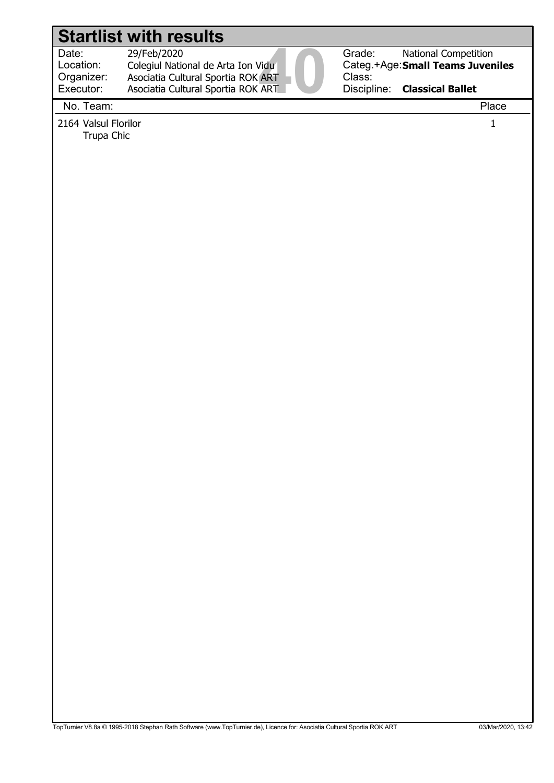29/Feb/2020

Date: 29/Feb/2020<br>Location: Colegiul National de Arta Ion Vidu<br>Organizer: Asociatia Cultural Sportia ROK ART<br>Executor: Asociatia Cultural Sportia ROK ART<br>Na Team: Location: Colegiul National de Arta Ion Vidu Organizer: Executor: Asociatia Cultural Sportia ROK ART Asociatia Cultural Sportia ROK ART



Grade: Categ.+Age: Small Teams Juveniles Class: Discipline: National Competition Classical Ballet

No. Team: Place

2164 Valsul Florilor 1

Trupa Chic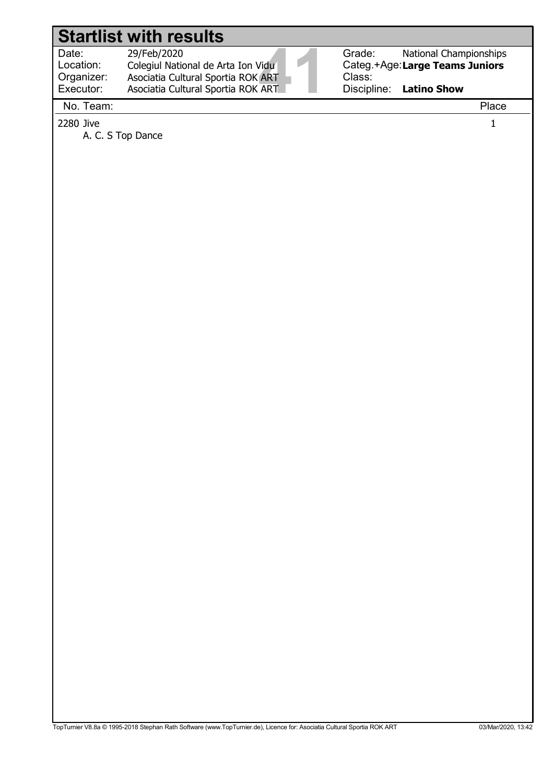| Date:<br>Location:<br>Organizer:<br>Executor: | 29/Feb/2020<br>Colegiul National de Arta Ion Vidu<br>Asociatia Cultural Sportia ROK ART<br>Asociatia Cultural Sportia ROK ART | Grade:<br><b>National Championships</b><br>Categ.+Age: Large Teams Juniors<br>Class:<br>Discipline: Latino Show |
|-----------------------------------------------|-------------------------------------------------------------------------------------------------------------------------------|-----------------------------------------------------------------------------------------------------------------|
| $N = T - 2$                                   |                                                                                                                               | $D2 - 1$                                                                                                        |

No. Team: Place

 $2280$  Jive  $1$ 

A. C. S Top Dance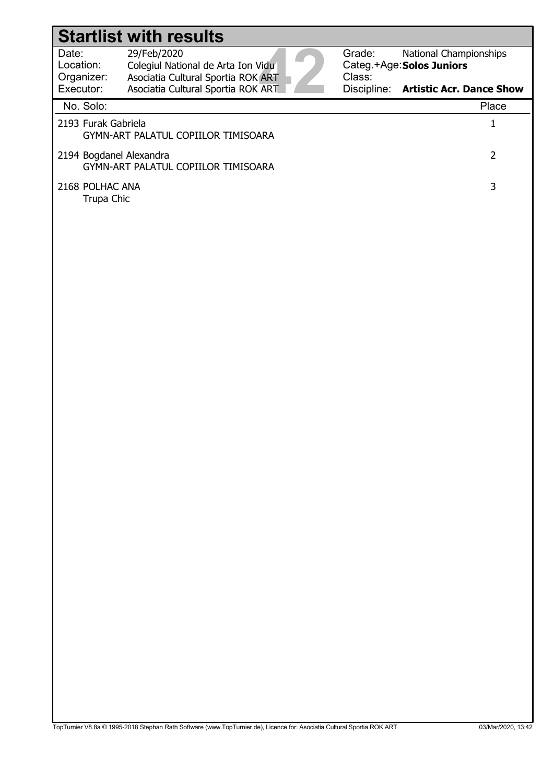| Date:                     | 29/Feb/2020                        |  |
|---------------------------|------------------------------------|--|
| Location:                 | Colegiul National de Arta Ion Vidu |  |
| Organizer:                | Asociatia Cultural Sportia ROK ART |  |
| Executor:                 | Asociatia Cultural Sportia ROK ART |  |
| $N = \Omega_{\text{max}}$ |                                    |  |

Grade: Categ.+Age: Class: National Championships Solos Juniors

Discipline: Artistic Acr. Dance Show

| No. Solo:                                                      | Place |
|----------------------------------------------------------------|-------|
| 2193 Furak Gabriela<br>GYMN-ART PALATUL COPIILOR TIMISOARA     |       |
| 2194 Bogdanel Alexandra<br>GYMN-ART PALATUL COPIILOR TIMISOARA |       |
| 2168 POLHAC ANA<br>Trupa Chic                                  |       |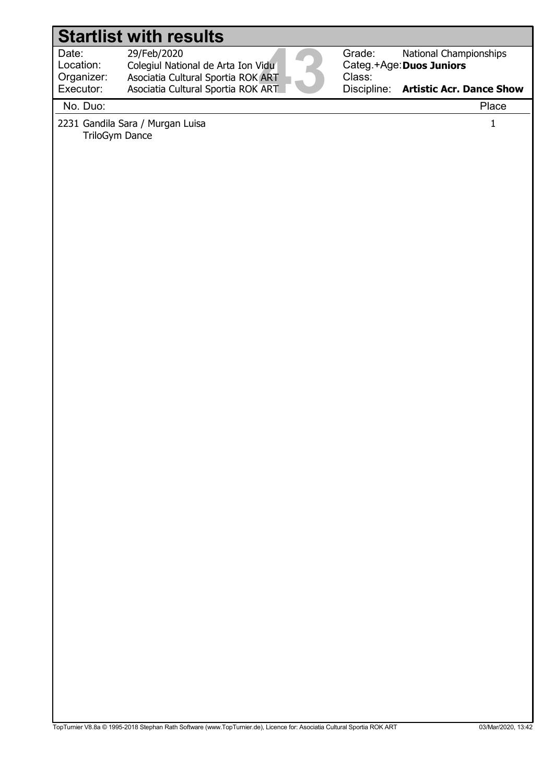Location:

29/Feb/2020

Date: 29/Feb/2020<br>Location: Colegiul National de Arta Ion Vidu<br>Organizer: Asociatia Cultural Sportia ROK ART<br>Executor: Asociatia Cultural Sportia ROK ART<br>Na Ducu Colegiul National de Arta Ion Vidu Organizer: Executor: Asociatia Cultural Sportia ROK ART Asociatia Cultural Sportia ROK ART



Grade: Categ.+Age: Duos Juniors Class: Discipline: National Championships Artistic Acr. Dance Show

No. Duo: Place

2231 Gandila Sara / Murgan Luisa 1 TriloGym Dance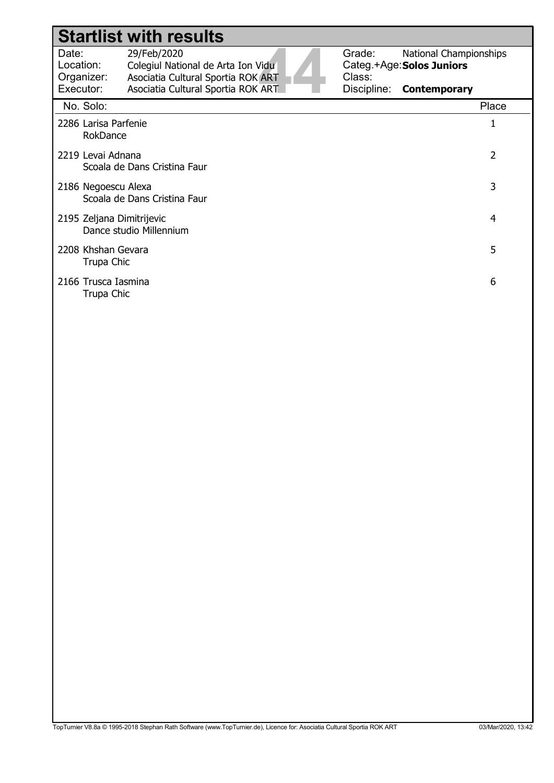|                                                                     | <b>Startlist with results</b>                                                           |                  |                                                     |
|---------------------------------------------------------------------|-----------------------------------------------------------------------------------------|------------------|-----------------------------------------------------|
| Date:<br>Location:<br>Organizer:                                    | 29/Feb/2020<br>Colegiul National de Arta Ion Vidu<br>Asociatia Cultural Sportia ROK ART | Grade:<br>Class: | National Championships<br>Categ.+Age: Solos Juniors |
| Executor:                                                           | Asociatia Cultural Sportia ROK ART                                                      | Discipline:      | <b>Contemporary</b>                                 |
| No. Solo:                                                           |                                                                                         |                  | Place                                               |
| 2286 Larisa Parfenie<br>RokDance                                    |                                                                                         |                  |                                                     |
| $\overline{2}$<br>2219 Levai Adnana<br>Scoala de Dans Cristina Faur |                                                                                         |                  |                                                     |
| 3<br>2186 Negoescu Alexa<br>Scoala de Dans Cristina Faur            |                                                                                         |                  |                                                     |
| 2195 Zeljana Dimitrijevic<br>4<br>Dance studio Millennium           |                                                                                         |                  |                                                     |
| 2208 Khshan Gevara<br>Trupa Chic                                    |                                                                                         |                  | 5                                                   |
| 2166 Trusca Iasmina<br>Trupa Chic                                   |                                                                                         |                  | 6                                                   |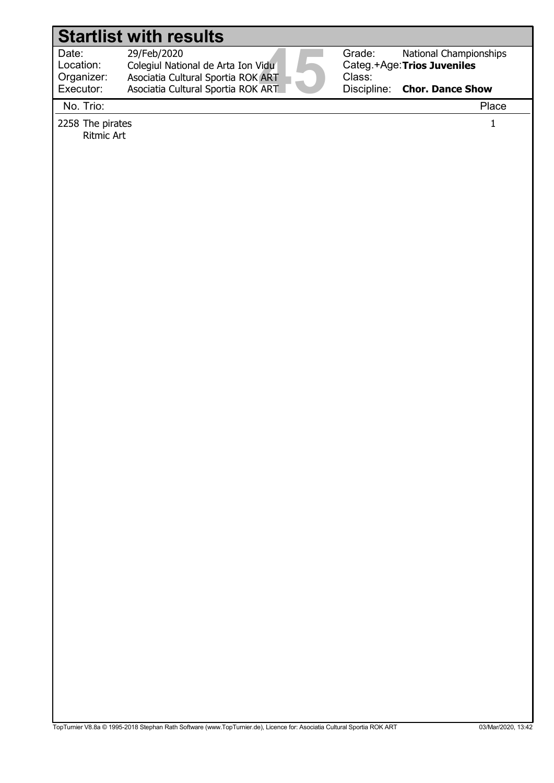# Date: 29/Feb/2020<br>Location: Colegiul National de Arta Ion Vidu<br>Organizer: Asociatia Cultural Sportia ROK ART<br>Executor: Asociatia Cultural Sportia ROK ART<br>Na Tricu Location: Grade: Categ.+Age: Trios Juveniles Class: Discipline: 29/Feb/2020 Colegiul National de Arta Ion Vidu National Championships Chor. Dance Show Organizer: Executor: Asociatia Cultural Sportia ROK ART Asociatia Cultural Sportia ROK ART Startlist with results No. Trio: Place 2258 The pirates 1 Ritmic Art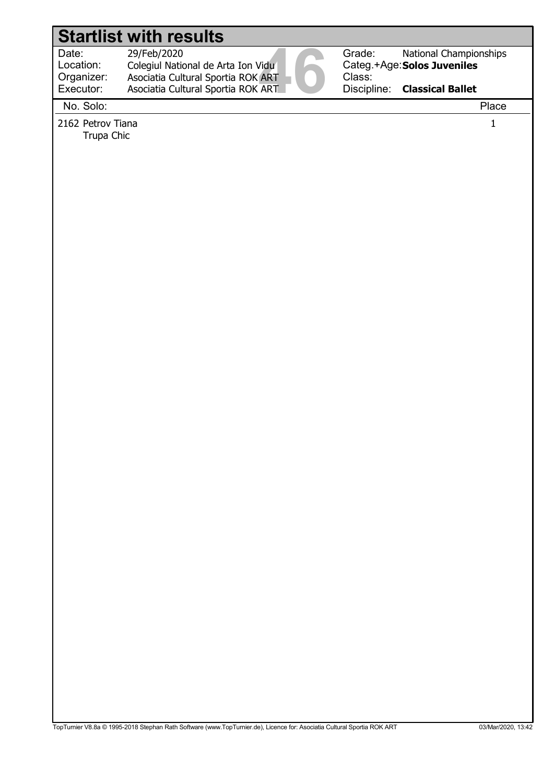#### Date: 29/Feb/2020<br>Location: Colegiul National de Arta Ion Vidu<br>Organizer: Asociatia Cultural Sportia ROK ART<br>Executor: Asociatia Cultural Sportia ROK ART<br>Na Sela: Location: Grade: Categ.+Age: Solos Juveniles Class: Discipline: 29/Feb/2020 Colegiul National de Arta Ion Vidu National Championships Classical Ballet Organizer: Executor: Asociatia Cultural Sportia ROK ART Asociatia Cultural Sportia ROK ART Startlist with results No. Solo: Place 2162 Petrov Tiana 1 Trupa Chic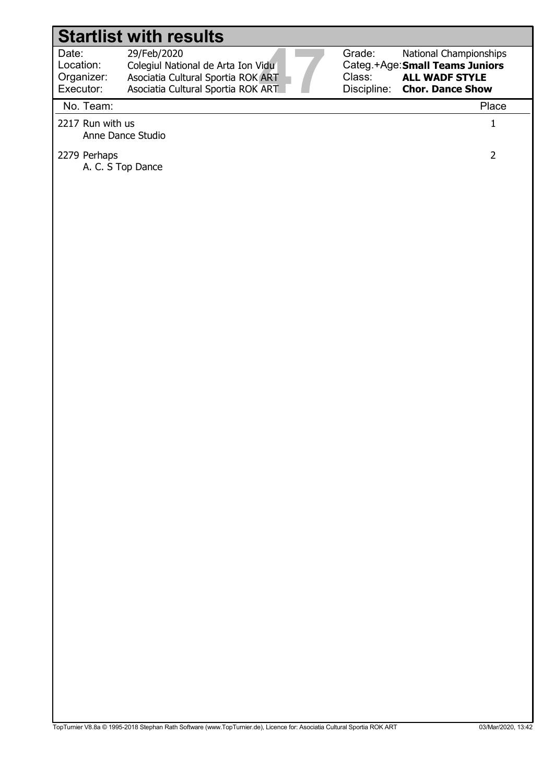Location: Organizer: 29/Feb/2020

Date: 29/Feb/2020<br>
Location: Colegiul National de Arta Ion Vidu<br>
Organizer: Asociatia Cultural Sportia ROK ART<br>
Executor: Asociatia Cultural Sportia ROK ART<br>
Na Team: Colegiul National de Arta Ion Vidu Executor: Asociatia Cultural Sportia ROK ART Asociatia Cultural Sportia ROK ART



#### No. Team: Place

- 2217 Run with us 1 Anne Dance Studio
- 2279 Perhaps 2

A. C. S Top Dance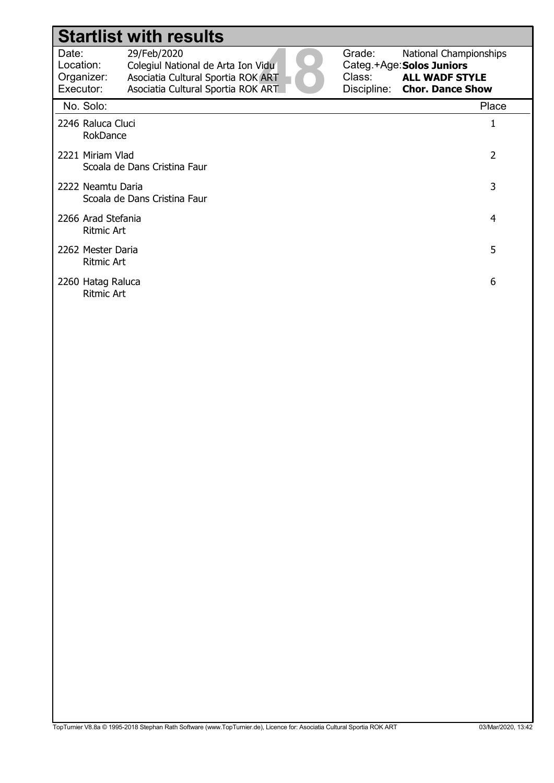|                                               | <b>Startlist with results</b>                                                                                                 |        |                                                                                                              |
|-----------------------------------------------|-------------------------------------------------------------------------------------------------------------------------------|--------|--------------------------------------------------------------------------------------------------------------|
| Date:<br>Location:<br>Organizer:<br>Executor: | 29/Feb/2020<br>Colegiul National de Arta Ion Vidu<br>Asociatia Cultural Sportia ROK ART<br>Asociatia Cultural Sportia ROK ART | Grade: | National Championships<br>Categ.+Age: Solos Juniors<br>Class: ALL WADF STYLE<br>Discipline: Chor. Dance Show |
| No. Solo:                                     |                                                                                                                               |        | Place                                                                                                        |
| 2246 Raluca Cluci<br>RokDance                 |                                                                                                                               |        | 1                                                                                                            |
| 2221 Miriam Vlad                              | Scoala de Dans Cristina Faur                                                                                                  |        | $\overline{2}$                                                                                               |
| 2222 Neamtu Daria                             | Scoala de Dans Cristina Faur                                                                                                  |        | 3                                                                                                            |
| 2266 Arad Stefania<br><b>Ritmic Art</b>       |                                                                                                                               |        | 4                                                                                                            |
| 2262 Mester Daria<br>Ritmic Art               |                                                                                                                               |        | 5                                                                                                            |
| 2260 Hatag Raluca<br><b>Ritmic Art</b>        |                                                                                                                               |        | 6                                                                                                            |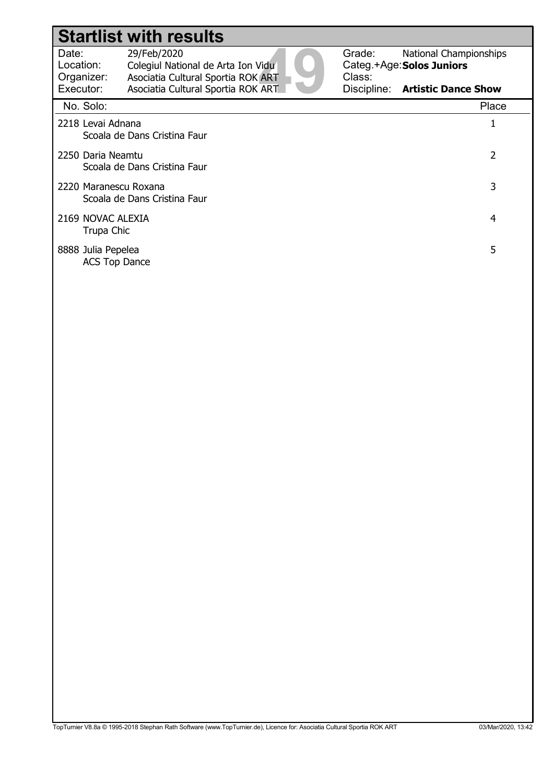| Date:<br>Location:<br>Organizer:           | 29/Feb/2020<br>Colegiul National de Arta Ion Vidu<br>Asociatia Cultural Sportia ROK ART | Grade:<br>Class: | <b>National Championships</b><br>Categ.+Age: Solos Juniors |
|--------------------------------------------|-----------------------------------------------------------------------------------------|------------------|------------------------------------------------------------|
| Executor:                                  | Asociatia Cultural Sportia ROK ART                                                      | Discipline:      | <b>Artistic Dance Show</b>                                 |
| No. Solo:                                  |                                                                                         |                  | Place                                                      |
| 2218 Levai Adnana                          | Scoala de Dans Cristina Faur                                                            |                  | 1                                                          |
| 2250 Daria Neamtu                          | Scoala de Dans Cristina Faur                                                            |                  | 2                                                          |
| 2220 Maranescu Roxana                      | Scoala de Dans Cristina Faur                                                            |                  | 3                                                          |
| 2169 NOVAC ALEXIA<br>Trupa Chic            |                                                                                         |                  | 4                                                          |
| 8888 Julia Pepelea<br><b>ACS Top Dance</b> |                                                                                         |                  | 5                                                          |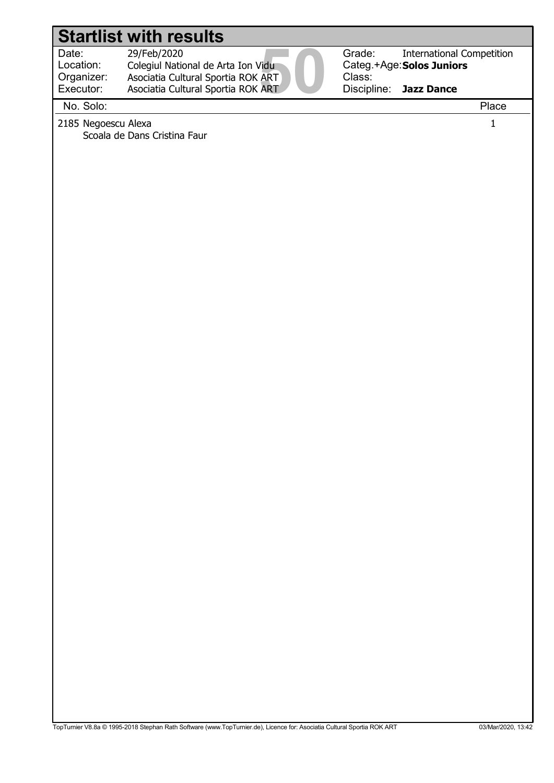Location:

29/Feb/2020

Date: 29/Feb/2020<br>Location: Colegiul National de Arta Ion Vidu<br>Organizer: Asociatia Cultural Sportia ROK ART<br>Executor: Asociatia Cultural Sportia ROK ART<br>Na Sela: Colegiul National de Arta Ion Vidu Organizer: Executor: Asociatia Cultural Sportia ROK ART Asociatia Cultural Sportia ROK ART



Categ.+Age: Solos Juniors Discipline: International Competition Jazz Dance

No. Solo: Place

2185 Negoescu Alexa 1 Scoala de Dans Cristina Faur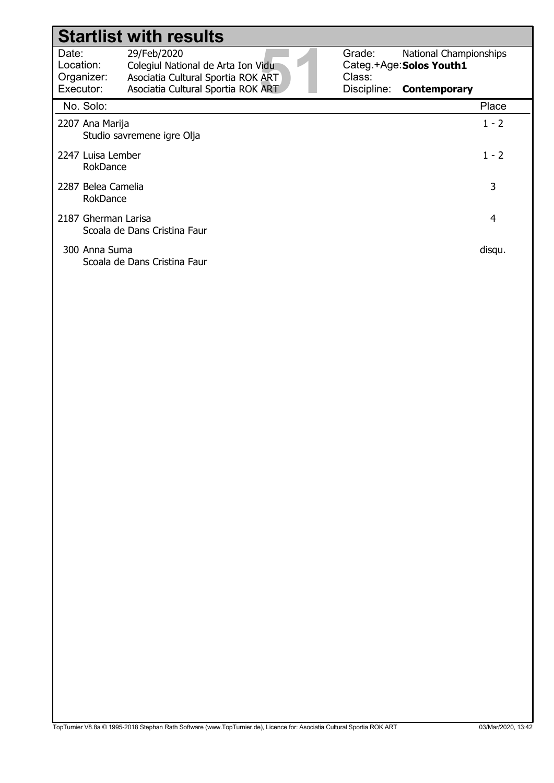|                                  | <b>Startlist with results</b>                                                           |                  |                                                           |         |
|----------------------------------|-----------------------------------------------------------------------------------------|------------------|-----------------------------------------------------------|---------|
| Date:<br>Location:<br>Organizer: | 29/Feb/2020<br>Colegiul National de Arta Ion Vidu<br>Asociatia Cultural Sportia ROK ART | Grade:<br>Class: | <b>National Championships</b><br>Categ.+Age: Solos Youth1 |         |
| Executor:                        | Asociatia Cultural Sportia ROK ART                                                      | Discipline:      | <b>Contemporary</b>                                       |         |
| No. Solo:                        |                                                                                         |                  |                                                           | Place   |
| 2207 Ana Marija                  | Studio savremene igre Olja                                                              |                  |                                                           | $1 - 2$ |
| 2247 Luisa Lember<br>RokDance    |                                                                                         |                  |                                                           | $1 - 2$ |
| 2287 Belea Camelia<br>RokDance   |                                                                                         |                  |                                                           | 3       |
| 2187 Gherman Larisa              | Scoala de Dans Cristina Faur                                                            |                  |                                                           | 4       |
| 300 Anna Suma                    | Scoala de Dans Cristina Faur                                                            |                  |                                                           | disqu.  |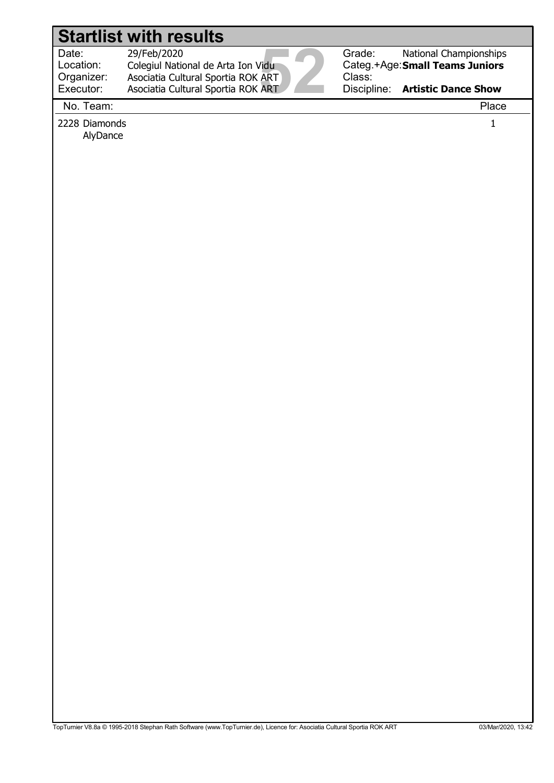Date: 29/Feb/2020<br>
Location: Colegiul National de Arta Ion Vidu<br>
Organizer: Asociatia Cultural Sportia ROK ART<br>
Executor: Asociatia Cultural Sportia ROK ART<br>
Na Team: Location: Organizer:

 29/Feb/2020 Colegiul National de Arta Ion Vidu Asociatia Cultural Sportia ROK ART

Asociatia Cultural Sportia ROK ART

Grade: Class:

Categ.+Age: Small Teams Juniors National Championships

Discipline: Artistic Dance Show

No. Team: Place

Executor:

2228 Diamonds 1 AlyDance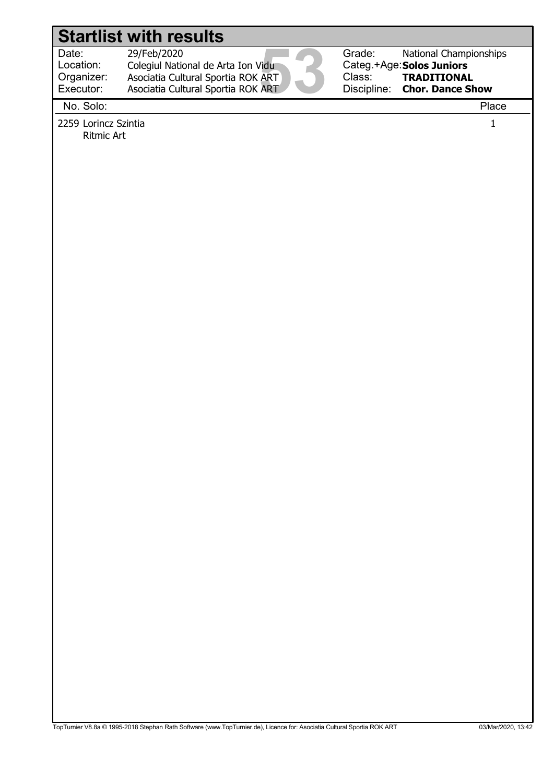Location: Organizer: Executor:

Date: 29/Feb/2020<br>Location: Colegiul National de Arta Ion Vidu<br>Organizer: Asociatia Cultural Sportia ROK ART<br>Executor: Asociatia Cultural Sportia ROK ART<br>Na Sela: 29/Feb/2020 Colegiul National de Arta Ion Vidu Asociatia Cultural Sportia ROK ART

Asociatia Cultural Sportia ROK ART



Grade: Categ.+Age: Solos Juniors Class: Discipline: National Championships TRADITIONAL Chor. Dance Show

No. Solo: Place

2259 Lorincz Szintia 1 Ritmic Art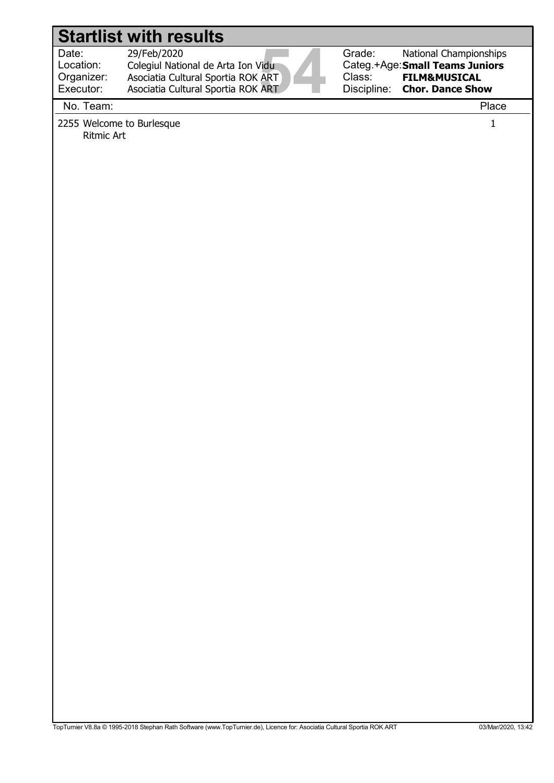Location: Organizer:  29/Feb/2020 Colegiul National de Arta Ion Vidu

 Asociatia Cultural Sportia ROK ART Asociatia Cultural Sportia ROK ART

Date: 29/Feb/2020<br>
Location: Colegiul National de Arta Ion Vidu<br>
Organizer: Asociatia Cultural Sportia ROK ART<br>
Executor: Asociatia Cultural Sportia ROK ART<br>
Na Team: Class:

Grade: Categ.+Age: Small Teams Juniors Discipline: National Championships FILM&MUSICAL Chor. Dance Show

No. Team: Place

Executor:

2255 Welcome to Burlesque 1 and 1 and 2255 Welcome to Burlesque 1 and 1 and 1 and 1 and 1 and 1 and 1 and 1 and 1 and 1 and 1 and 1 and 1 and 1 and 1 and 1 and 1 and 1 and 1 and 1 and 1 and 1 and 1 and 1 and 1 and 1 and 1 Ritmic Art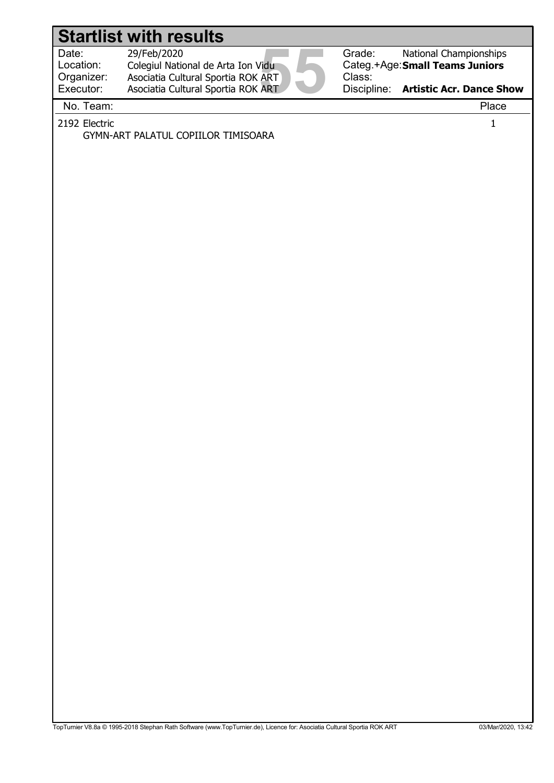|                                               | <b>Startlist with results</b>                                                                                                 |                                                                                                                                 |
|-----------------------------------------------|-------------------------------------------------------------------------------------------------------------------------------|---------------------------------------------------------------------------------------------------------------------------------|
| Date:<br>Location:<br>Organizer:<br>Executor: | 29/Feb/2020<br>Colegiul National de Arta Ion Vidu<br>Asociatia Cultural Sportia ROK ART<br>Asociatia Cultural Sportia ROK ART | Grade:<br>National Championships<br>Categ.+Age: Small Teams Juniors<br>Class:<br>Discipline:<br><b>Artistic Acr. Dance Show</b> |
| No. Team:                                     |                                                                                                                               | Place                                                                                                                           |
| 2192 Electric                                 | GYMN-ART PALATUL COPIILOR TIMISOARA                                                                                           | $\mathbf 1$                                                                                                                     |
|                                               |                                                                                                                               |                                                                                                                                 |
|                                               |                                                                                                                               |                                                                                                                                 |
|                                               |                                                                                                                               |                                                                                                                                 |
|                                               |                                                                                                                               |                                                                                                                                 |
|                                               |                                                                                                                               |                                                                                                                                 |
|                                               |                                                                                                                               |                                                                                                                                 |
|                                               |                                                                                                                               |                                                                                                                                 |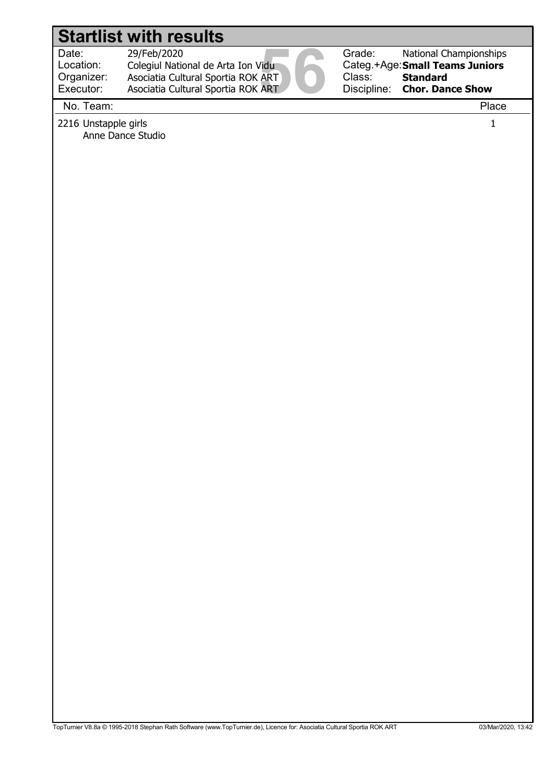Location: Organizer: 29/Feb/2020

Date: 29/Feb/2020<br>Location: Colegiul National de Arta Ion Vidu<br>Organizer: Asociatia Cultural Sportia ROK ART<br>Executor: Asociatia Cultural Sportia ROK ART<br>Na Team: Colegiul National de Arta Ion Vidu Executor: Asociatia Cultural Sportia ROK ART Asociatia Cultural Sportia ROK ART



Categ.+Age: Small Teams Juniors National Championships **Standard** Chor. Dance Show

No. Team: Place

2216 Unstapple girls 1 Anne Dance Studio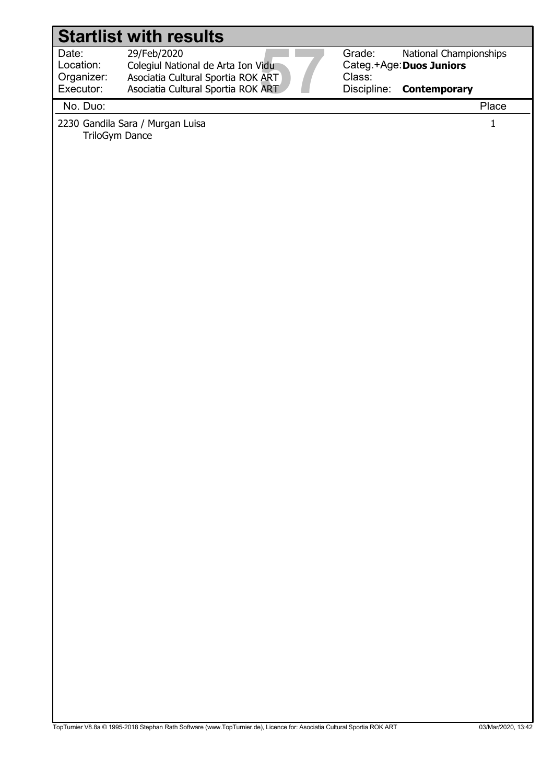Location:

29/Feb/2020

Date: 29/Feb/2020<br>
Location: Colegiul National de Arta Ion Vidu<br>
Organizer: Asociatia Cultural Sportia ROK ART<br>
Executor: Asociatia Cultural Sportia ROK ART<br>
Na Ducu Colegiul National de Arta Ion Vidu Organizer: Executor: Asociatia Cultural Sportia ROK ART Asociatia Cultural Sportia ROK ART



Categ.+Age: Duos Juniors National Championships **Contemporary** 

No. Duo: Place

2230 Gandila Sara / Murgan Luisa 1 TriloGym Dance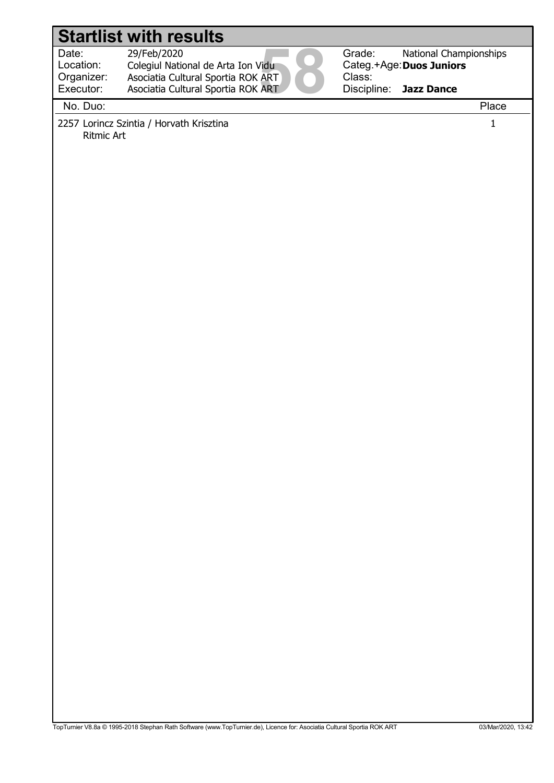29/Feb/2020

Date: 29/Feb/2020<br>Location: Colegiul National de Arta Ion Vidu<br>Organizer: Asociatia Cultural Sportia ROK ART<br>Executor: Asociatia Cultural Sportia ROK ART<br>Na Ducu Location: Colegiul National de Arta Ion Vidu Organizer: Executor: Asociatia Cultural Sportia ROK ART Asociatia Cultural Sportia ROK ART



Categ.+Age: Duos Juniors Discipline: National Championships Jazz Dance

No. Duo: Place

2257 Lorincz Szintia / Horvath Krisztina 1 Ritmic Art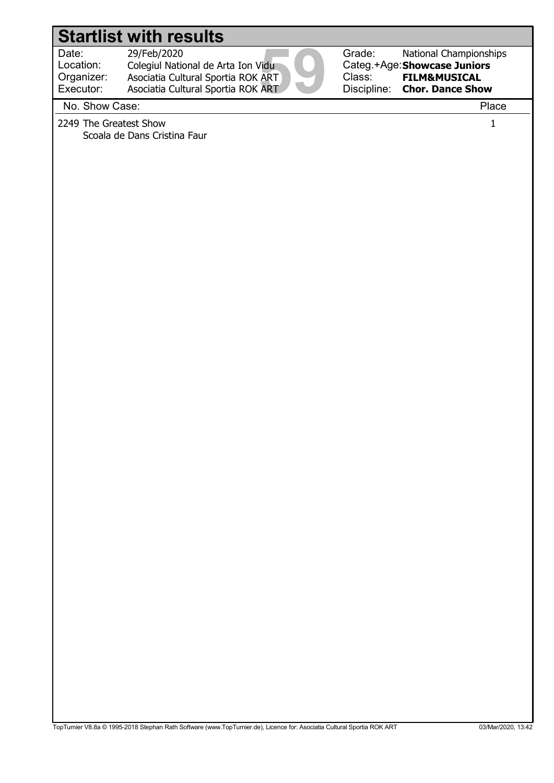Location: Organizer: 29/Feb/2020

Date: 29/Feb/2020<br>Location: Colegiul National de Arta Ion Vidu<br>Organizer: Asociatia Cultural Sportia ROK ART<br>Executor: Asociatia Cultural Sportia ROK ART<br>Na Shaw Cass: Colegiul National de Arta Ion Vidu Executor: Asociatia Cultural Sportia ROK ART Asociatia Cultural Sportia ROK ART



Categ.+Age: Showcase Juniors National Championships FILM&MUSICAL Chor. Dance Show

No. Show Case: Place

2249 The Greatest Show 1 Scoala de Dans Cristina Faur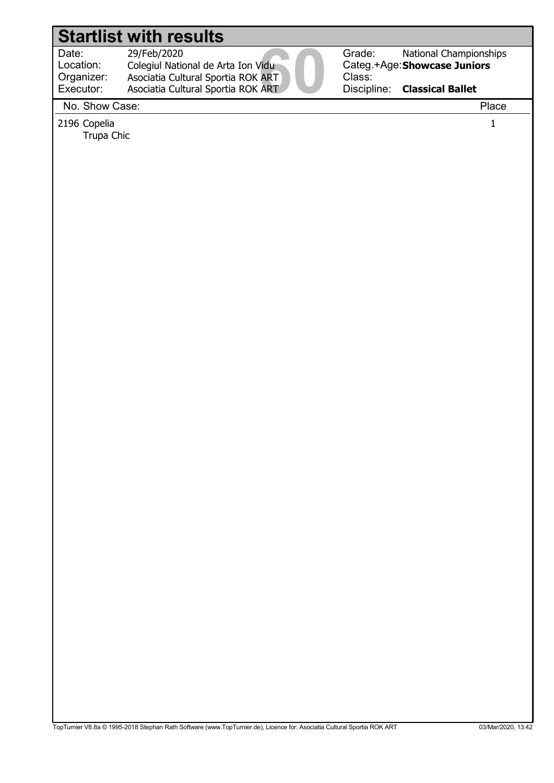Location: Organizer:

 29/Feb/2020 Colegiul National de Arta Ion Vidu

Date: 29/Feb/2020<br>Location: Colegiul National de Arta Ion Vidu<br>Organizer: Asociatia Cultural Sportia ROK ART<br>Executor: Asociatia Cultural Sportia ROK ART<br>Na Shaw Cass: Executor: Asociatia Cultural Sportia ROK ART Asociatia Cultural Sportia ROK ART



Grade: Categ.+Age: Showcase Juniors Class: Discipline: National Championships Classical Ballet

No. Show Case: Place

2196 Copelia 1

Trupa Chic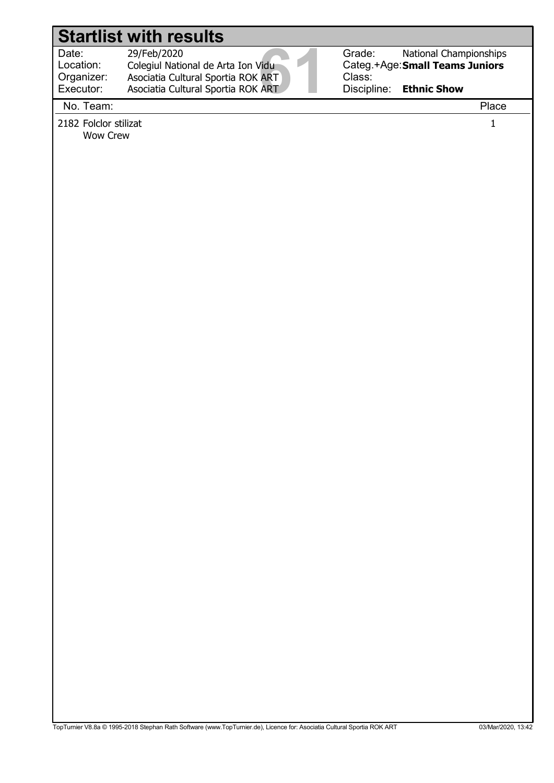Location: Organizer:

Date: 29/Feb/2020<br>
Location: Colegiul National de Arta Ion Vidu<br>
Organizer: Asociatia Cultural Sportia ROK ART<br>
Executor: Asociatia Cultural Sportia ROK ART<br>
Na Team: 29/Feb/2020 Colegiul National de Arta Ion Vidu Asociatia Cultural Sportia ROK ART

Asociatia Cultural Sportia ROK ART

Grade: Class:

Categ.+Age: Small Teams Juniors Discipline: National Championships Ethnic Show

No. Team: Place

Executor:

2182 Folclor stilizat 1

Wow Crew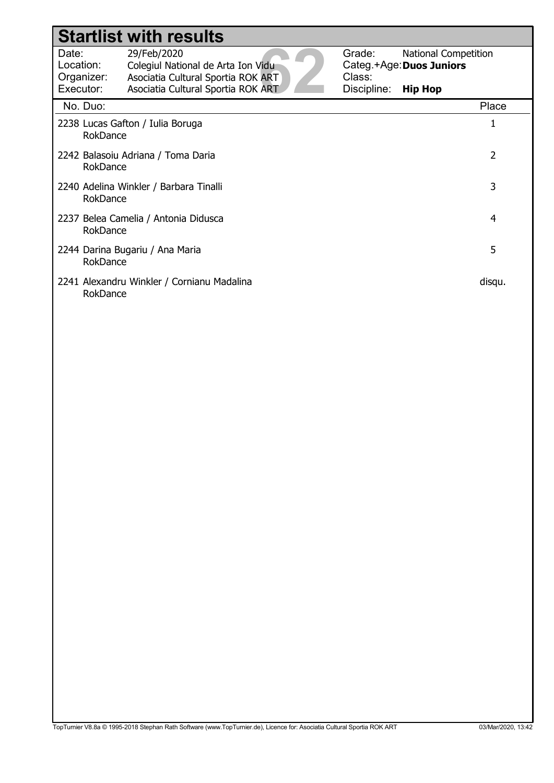|                                                         |          | <b>Startlist with results</b>                                                           |                  |                                                         |  |
|---------------------------------------------------------|----------|-----------------------------------------------------------------------------------------|------------------|---------------------------------------------------------|--|
| Date:<br>Location:<br>Organizer:                        |          | 29/Feb/2020<br>Colegiul National de Arta Ion Vidu<br>Asociatia Cultural Sportia ROK ART | Grade:<br>Class: | <b>National Competition</b><br>Categ.+Age: Duos Juniors |  |
| Executor:                                               |          | Asociatia Cultural Sportia ROK ART                                                      | Discipline:      | <b>Hip Hop</b>                                          |  |
| No. Duo:                                                |          |                                                                                         |                  | Place                                                   |  |
|                                                         | RokDance | 2238 Lucas Gafton / Iulia Boruga                                                        |                  | 1                                                       |  |
| 2<br>2242 Balasoiu Adriana / Toma Daria<br>RokDance     |          |                                                                                         |                  |                                                         |  |
| 3<br>2240 Adelina Winkler / Barbara Tinalli<br>RokDance |          |                                                                                         |                  |                                                         |  |
|                                                         | RokDance | 2237 Belea Camelia / Antonia Didusca                                                    |                  | 4                                                       |  |
|                                                         | RokDance | 2244 Darina Bugariu / Ana Maria                                                         |                  | 5                                                       |  |
|                                                         | RokDance | 2241 Alexandru Winkler / Cornianu Madalina                                              |                  | disqu.                                                  |  |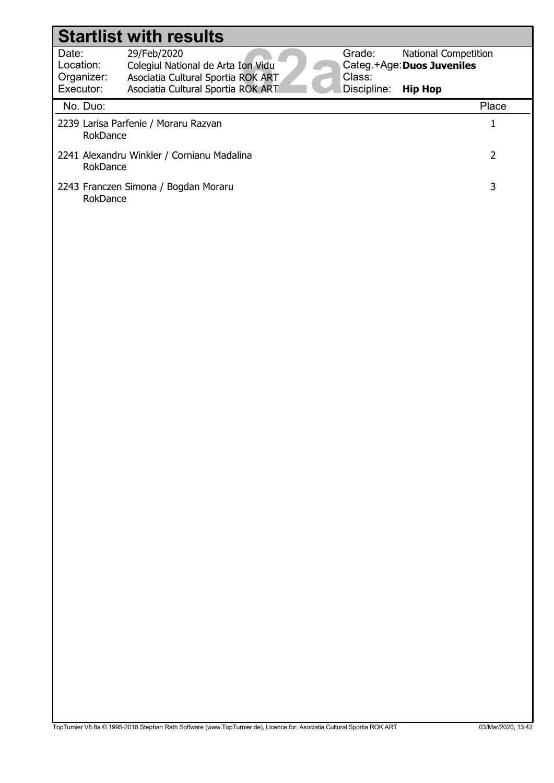|                                  | <b>Startlist with results</b>                                                           |                  |                                                           |                |
|----------------------------------|-----------------------------------------------------------------------------------------|------------------|-----------------------------------------------------------|----------------|
| Date:<br>Location:<br>Organizer: | 29/Feb/2020<br>Colegiul National de Arta Ion Vidu<br>Asociatia Cultural Sportia ROK ART | Grade:<br>Class: | <b>National Competition</b><br>Categ.+Age: Duos Juveniles |                |
| Executor:                        | Asociatia Cultural Sportia ROK ART                                                      | Discipline:      | <b>Hip Hop</b>                                            |                |
| No. Duo:                         |                                                                                         |                  |                                                           | Place          |
| RokDance                         | 2239 Larisa Parfenie / Moraru Razvan                                                    |                  |                                                           | $\mathbf{1}$   |
| RokDance                         | 2241 Alexandru Winkler / Cornianu Madalina                                              |                  |                                                           | $\overline{2}$ |
| RokDance                         | 2243 Franczen Simona / Bogdan Moraru                                                    |                  |                                                           | 3              |
|                                  |                                                                                         |                  |                                                           |                |
|                                  |                                                                                         |                  |                                                           |                |
|                                  |                                                                                         |                  |                                                           |                |
|                                  |                                                                                         |                  |                                                           |                |
|                                  |                                                                                         |                  |                                                           |                |
|                                  |                                                                                         |                  |                                                           |                |
|                                  |                                                                                         |                  |                                                           |                |
|                                  |                                                                                         |                  |                                                           |                |
|                                  |                                                                                         |                  |                                                           |                |
|                                  |                                                                                         |                  |                                                           |                |
|                                  |                                                                                         |                  |                                                           |                |
|                                  |                                                                                         |                  |                                                           |                |
|                                  |                                                                                         |                  |                                                           |                |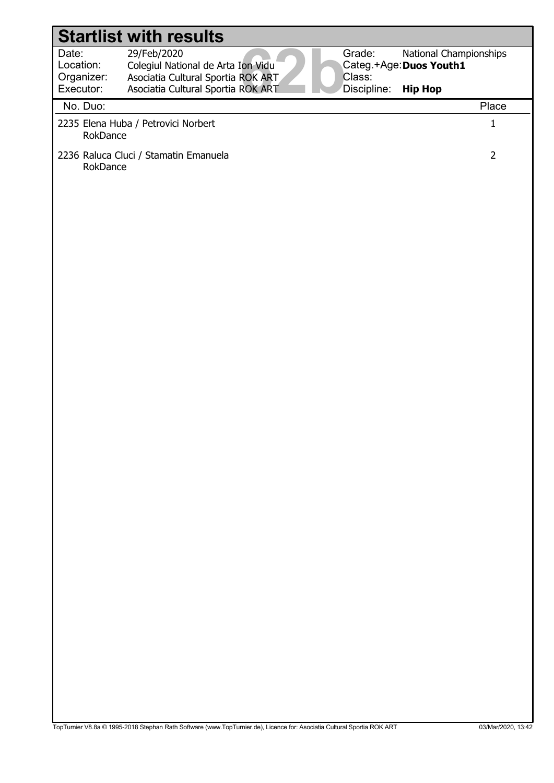|                                               | <b>Startlist with results</b>                                                                                                 |                                 |                                                                     |
|-----------------------------------------------|-------------------------------------------------------------------------------------------------------------------------------|---------------------------------|---------------------------------------------------------------------|
| Date:<br>Location:<br>Organizer:<br>Executor: | 29/Feb/2020<br>Colegiul National de Arta Ion Vidu<br>Asociatia Cultural Sportia ROK ART<br>Asociatia Cultural Sportia ROK ART | Grade:<br>Class:<br>Discipline: | National Championships<br>Categ.+Age: Duos Youth1<br><b>Hip Hop</b> |
| No. Duo:                                      |                                                                                                                               |                                 | Place                                                               |
| RokDance                                      | 2235 Elena Huba / Petrovici Norbert                                                                                           |                                 | $\mathbf{1}$                                                        |
| RokDance                                      | 2236 Raluca Cluci / Stamatin Emanuela                                                                                         |                                 | $\overline{2}$                                                      |
|                                               |                                                                                                                               |                                 |                                                                     |
|                                               |                                                                                                                               |                                 |                                                                     |
|                                               |                                                                                                                               |                                 |                                                                     |
|                                               |                                                                                                                               |                                 |                                                                     |
|                                               |                                                                                                                               |                                 |                                                                     |
|                                               |                                                                                                                               |                                 |                                                                     |
|                                               |                                                                                                                               |                                 |                                                                     |
|                                               |                                                                                                                               |                                 |                                                                     |
|                                               |                                                                                                                               |                                 |                                                                     |
|                                               |                                                                                                                               |                                 |                                                                     |
|                                               |                                                                                                                               |                                 |                                                                     |
|                                               |                                                                                                                               |                                 |                                                                     |
|                                               |                                                                                                                               |                                 |                                                                     |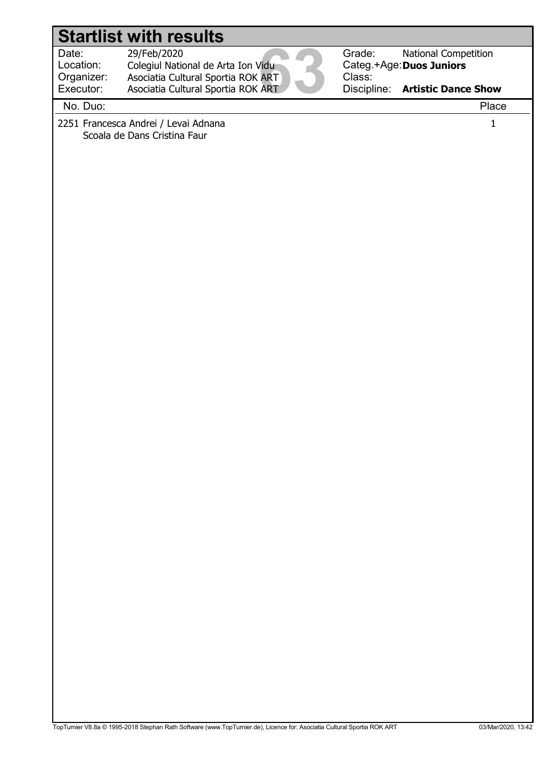# Date: 29/Feb/2020<br>Location: Colegiul National de Arta Ion Vidu<br>Organizer: Asociatia Cultural Sportia ROK ART<br>Executor: Asociatia Cultural Sportia ROK ART<br>Na Ducu Location: Grade: Categ.+Age: Duos Juniors Class: Discipline: Artistic Dance Show 29/Feb/2020 Colegiul National de Arta Ion Vidu National Competition Organizer: Executor: Asociatia Cultural Sportia ROK ART Asociatia Cultural Sportia ROK ART Startlist with results No. Duo: Place 2251 Francesca Andrei / Levai Adnana 1 Scoala de Dans Cristina Faur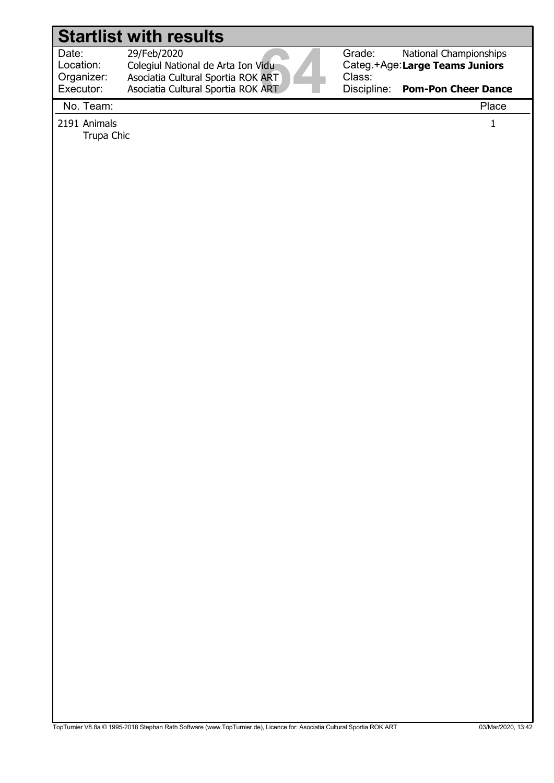Location:

 29/Feb/2020 Colegiul National de Arta Ion Vidu Asociatia Cultural Sportia ROK ART

Asociatia Cultural Sportia ROK ART



Grade: Categ.+Age: Large Teams Juniors Class: National Championships

Discipline: Pom-Pon Cheer Dance

No. Team: Place

Organizer: Executor:

2191 Animals 1 Trupa Chic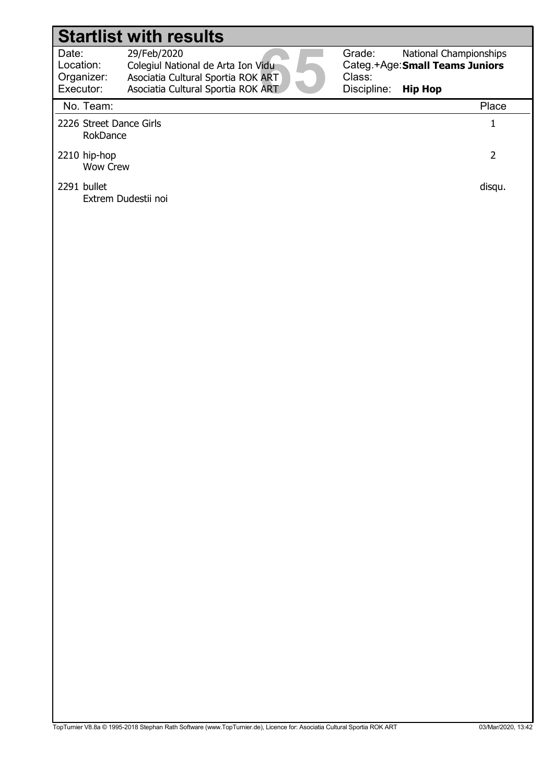| Date:      | 29/Feb/2020                        |
|------------|------------------------------------|
| Location:  | Colegiul National de Arta Ion Vidu |
| Organizer: | Asociatia Cultural Sportia ROK ART |
| Executor:  | Asociatia Cultural Sportia ROK ART |
|            |                                    |

Grade: Categ.+Age: Small Teams Juniors Class: Discipline: National Championships Hip Hop

#### No. Team: Place 2226 Street Dance Girls 1 RokDance 2210 hip-hop 2 Wow Crew 2291 bullet disqu. Extrem Dudestii noi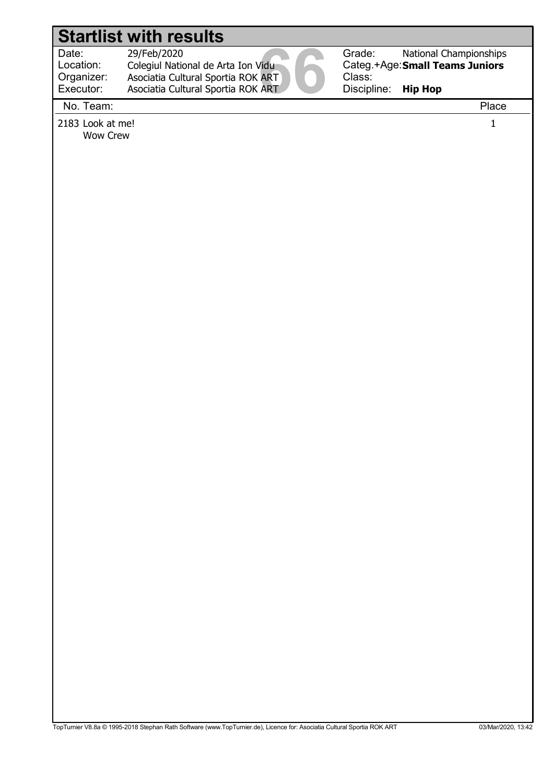Location: Organizer:

Date: 29/Feb/2020<br>Location: Colegiul National de Arta Ion Vidu<br>Organizer: Asociatia Cultural Sportia ROK ART<br>Executor: Asociatia Cultural Sportia ROK ART<br>Na Team: 29/Feb/2020 Colegiul National de Arta Ion Vidu Asociatia Cultural Sportia ROK ART

Asociatia Cultural Sportia ROK ART

Grade: Class:

Categ.+Age: Small Teams Juniors Discipline: National Championships Hip Hop

No. Team: Place

Executor:

2183 Look at me! 1 Wow Crew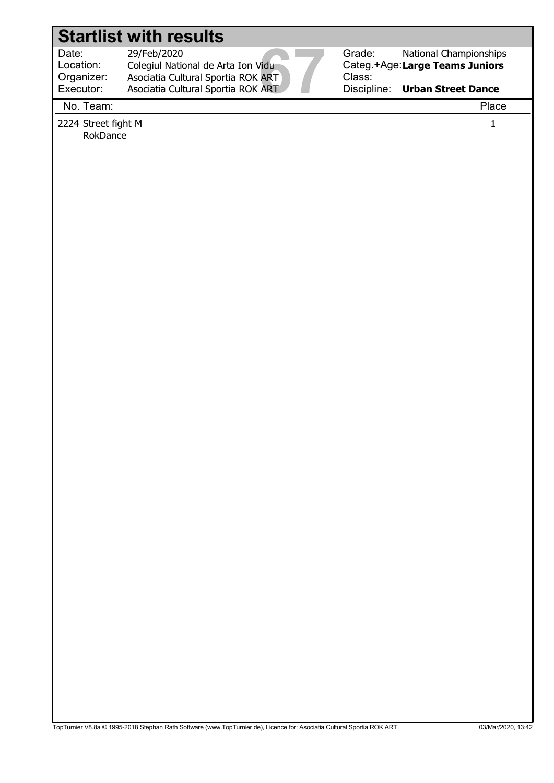Location: Organizer:

Date: 29/Feb/2020<br>
Location: Colegiul National de Arta Ion Vidu<br>
Organizer: Asociatia Cultural Sportia ROK ART<br>
Executor: Asociatia Cultural Sportia ROK ART<br>
Na Team: 29/Feb/2020 Colegiul National de Arta Ion Vidu Asociatia Cultural Sportia ROK ART

Asociatia Cultural Sportia ROK ART

Grade: Class: Discipline:

Categ.+Age: Large Teams Juniors National Championships

Urban Street Dance

No. Team: Place

Executor:

2224 Street fight M 1 RokDance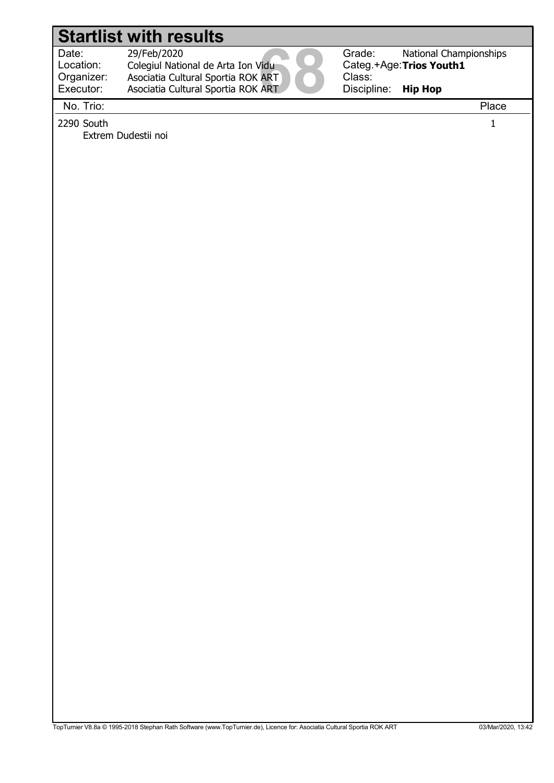Extrem Dudestii noi

Location: Organizer:

 29/Feb/2020 Colegiul National de Arta Ion Vidu

Date: 29/Feb/2020<br>Location: Colegiul National de Arta Ion Vidu<br>Organizer: Asociatia Cultural Sportia ROK ART<br>Executor: Asociatia Cultural Sportia ROK ART<br>Na Tricu Asociatia Cultural Sportia ROK ART Asociatia Cultural Sportia ROK ART



Grade: Categ.+Age: Trios Youth1 Class: Discipline: National Championships Hip Hop

Executor: No. Trio: Place

 $2290$  South  $1$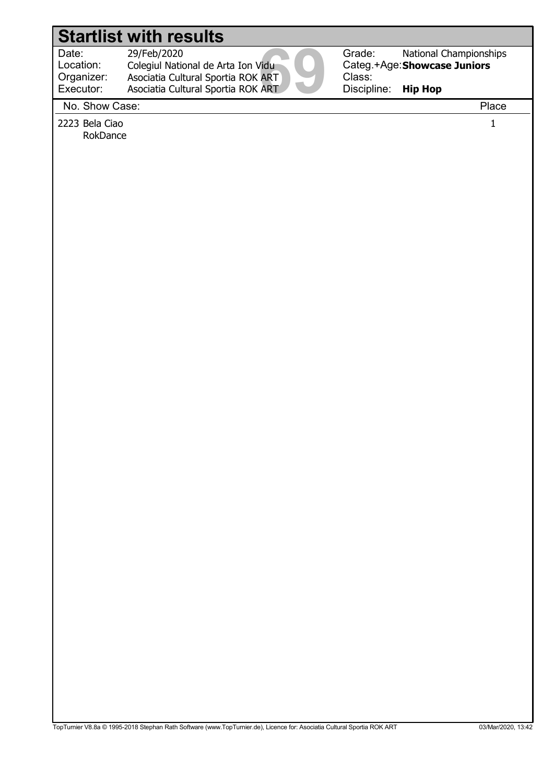Location: Organizer:  29/Feb/2020 Colegiul National de Arta Ion Vidu

Date: 29/Feb/2020<br>Location: Colegiul National de Arta Ion Vidu<br>Organizer: Asociatia Cultural Sportia ROK ART<br>Executor: Asociatia Cultural Sportia ROK ART<br>Na Shaw Cass: Executor: Asociatia Cultural Sportia ROK ART Asociatia Cultural Sportia ROK ART



Grade: Categ.+Age: Showcase Juniors Class: Discipline: National Championships Hip Hop

No. Show Case: Place

2223 Bela Ciao 1 RokDance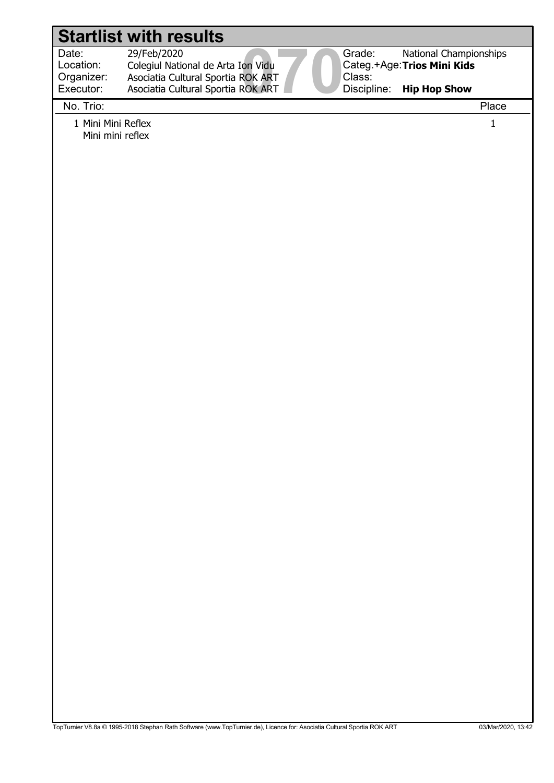Location:

29/Feb/2020

Date: 29/Feb/2020<br>Location: Colegiul National de Arta Ion Vidu<br>Organizer: Asociatia Cultural Sportia ROK ART<br>Executor: Asociatia Cultural Sportia ROK ART<br>Na Tricu Colegiul National de Arta Ion Vidu Organizer: Executor: Asociatia Cultural Sportia ROK ART Asociatia Cultural Sportia ROK ART



Categ.+Age: Trios Mini Kids National Championships

Hip Hop Show

#### No. Trio: Place

1 Mini Mini Reflex 1 Mini mini reflex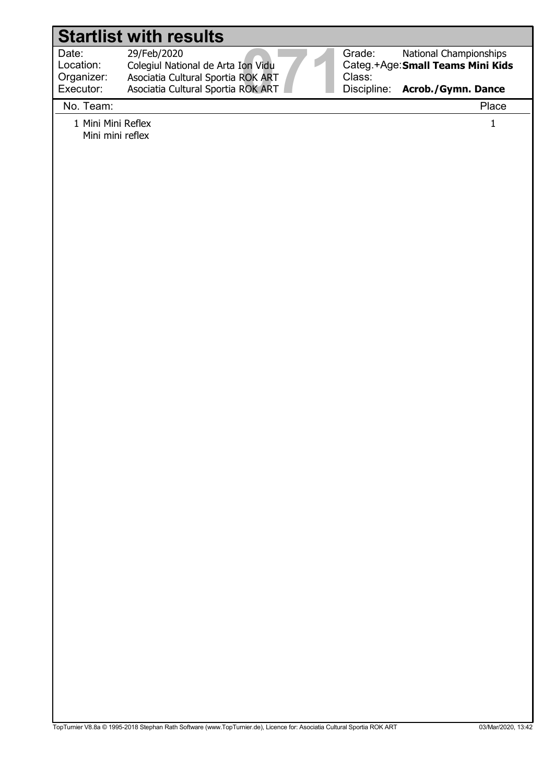Location: Organizer:

 29/Feb/2020 Colegiul National de Arta Ion Vidu

Date: 29/Feb/2020<br>
Location: Colegiul National de Arta Ion Vidu<br>
Organizer: Asociatia Cultural Sportia ROK ART<br>
Executor: Asociatia Cultural Sportia ROK ART<br>
Na Team: Executor: Asociatia Cultural Sportia ROK ART Asociatia Cultural Sportia ROK ART



Categ.+Age: Small Teams Mini Kids National Championships

Discipline: Acrob./Gymn. Dance

#### No. Team: Place

1 Mini Mini Reflex 1 Mini mini reflex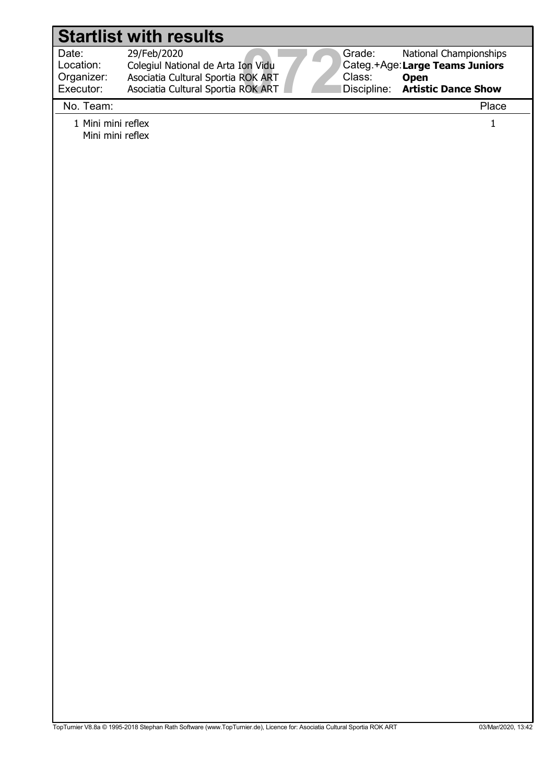| <b>Startlist with results</b>                       |                                                                                         |  |                  |                                                                         |
|-----------------------------------------------------|-----------------------------------------------------------------------------------------|--|------------------|-------------------------------------------------------------------------|
| Date:<br>Location:<br>Organizer:                    | 29/Feb/2020<br>Colegiul National de Arta Ion Vidu<br>Asociatia Cultural Sportia ROK ART |  | Grade:<br>Class: | National Championships<br>Categ.+Age:Large Teams Juniors<br><b>Open</b> |
| Executor:                                           | Asociatia Cultural Sportia ROK ART                                                      |  | Discipline:      | <b>Artistic Dance Show</b>                                              |
|                                                     |                                                                                         |  |                  |                                                                         |
| No. Team:<br>1 Mini mini reflex<br>Mini mini reflex |                                                                                         |  |                  | Place<br>$\mathbf 1$                                                    |
|                                                     |                                                                                         |  |                  |                                                                         |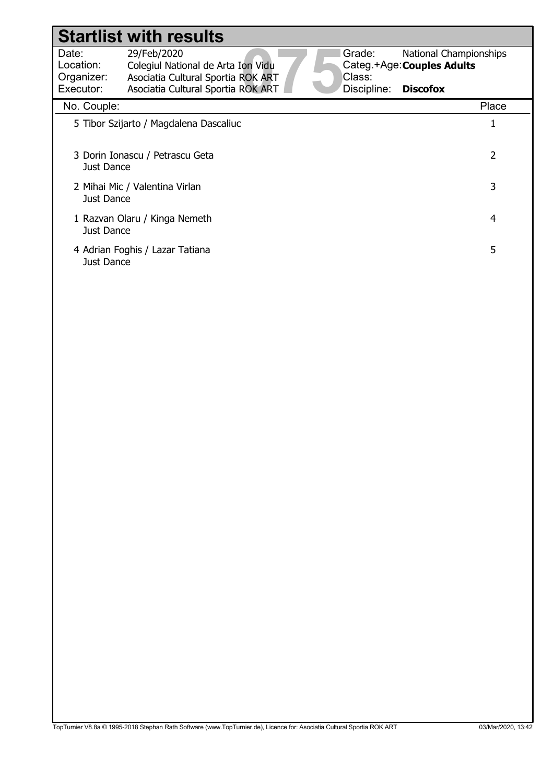## Date: 29/Feb/2020<br>Location: Colegiul National de Arta Ion Vidu<br>Organizer: Asociatia Cultural Sportia ROK ART<br>Executor: Asociatia Cultural Sportia ROK ART<br>Na Caurlar Location: Grade: Categ.+Age: Couples Adults Class: Discipline: 29/Feb/2020 Colegiul National de Arta Ion Vidu National Championships **Discofox** Organizer: Executor: Asociatia Cultural Sportia ROK ART Asociatia Cultural Sportia ROK ART Startlist with results No. Couple: Place 5 Tibor Szijarto / Magdalena Dascaliuc 1 3 Dorin Ionascu / Petrascu Geta 2 Just Dance 2 Mihai Mic / Valentina Virlan 3 Just Dance 1 Razvan Olaru / Kinga Nemeth 4 Just Dance

4 Adrian Foghis / Lazar Tatiana 5

Just Dance